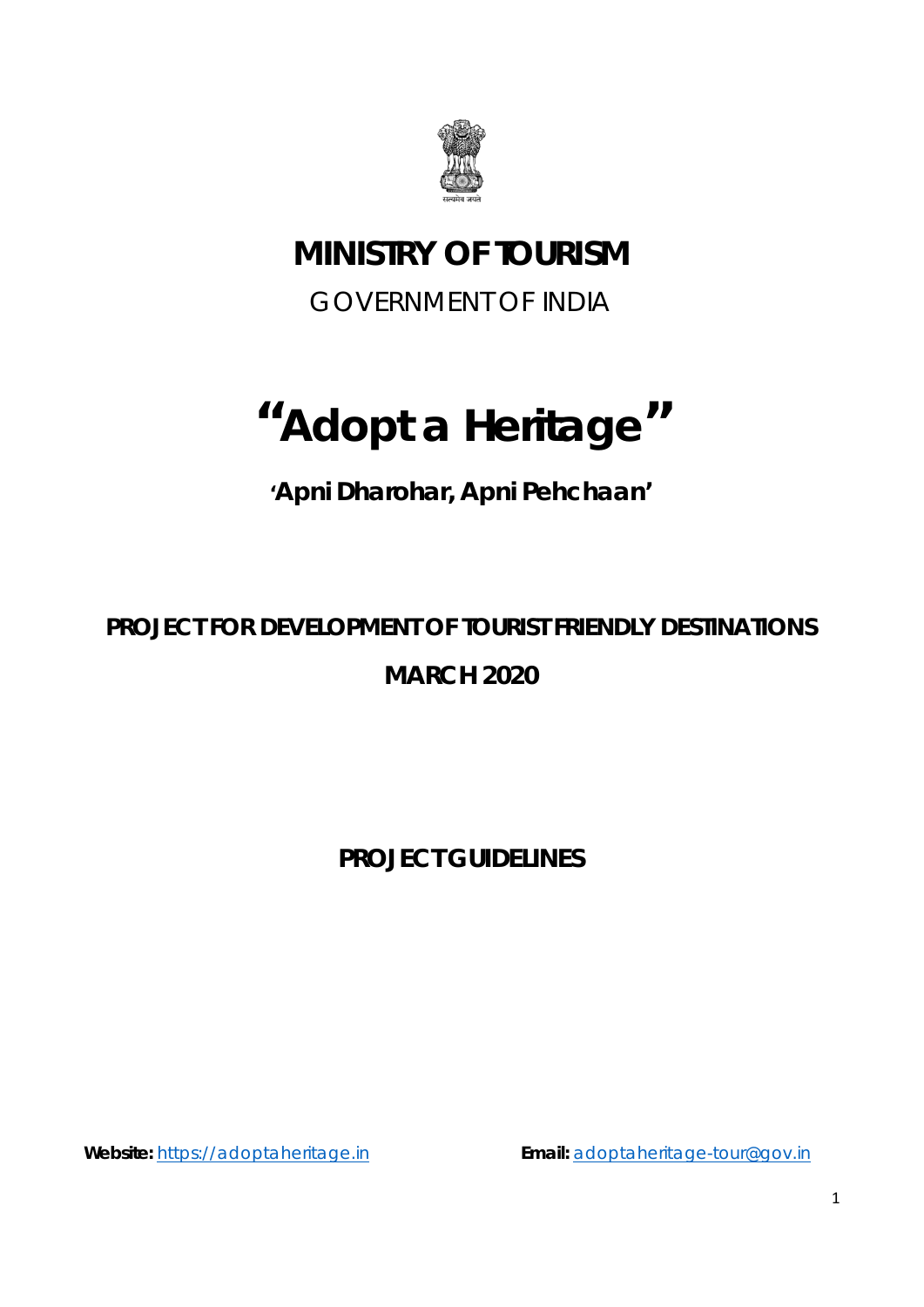

# **MINISTRY OF TOURISM**

GOVERNMENT OF INDIA

# **"Adopt a Heritage"**

*'Apni Dharohar, Apni Pehchaan'*

# **PROJECT FOR DEVELOPMENT OF TOURIST FRIENDLY DESTINATIONS MARCH 2020**

**PROJECT GUIDELINES**

**Website:** https://adoptaheritage.in **Email:** [adoptaheritage-tour@gov.in](mailto:adoptaheritage-tour@gov.in)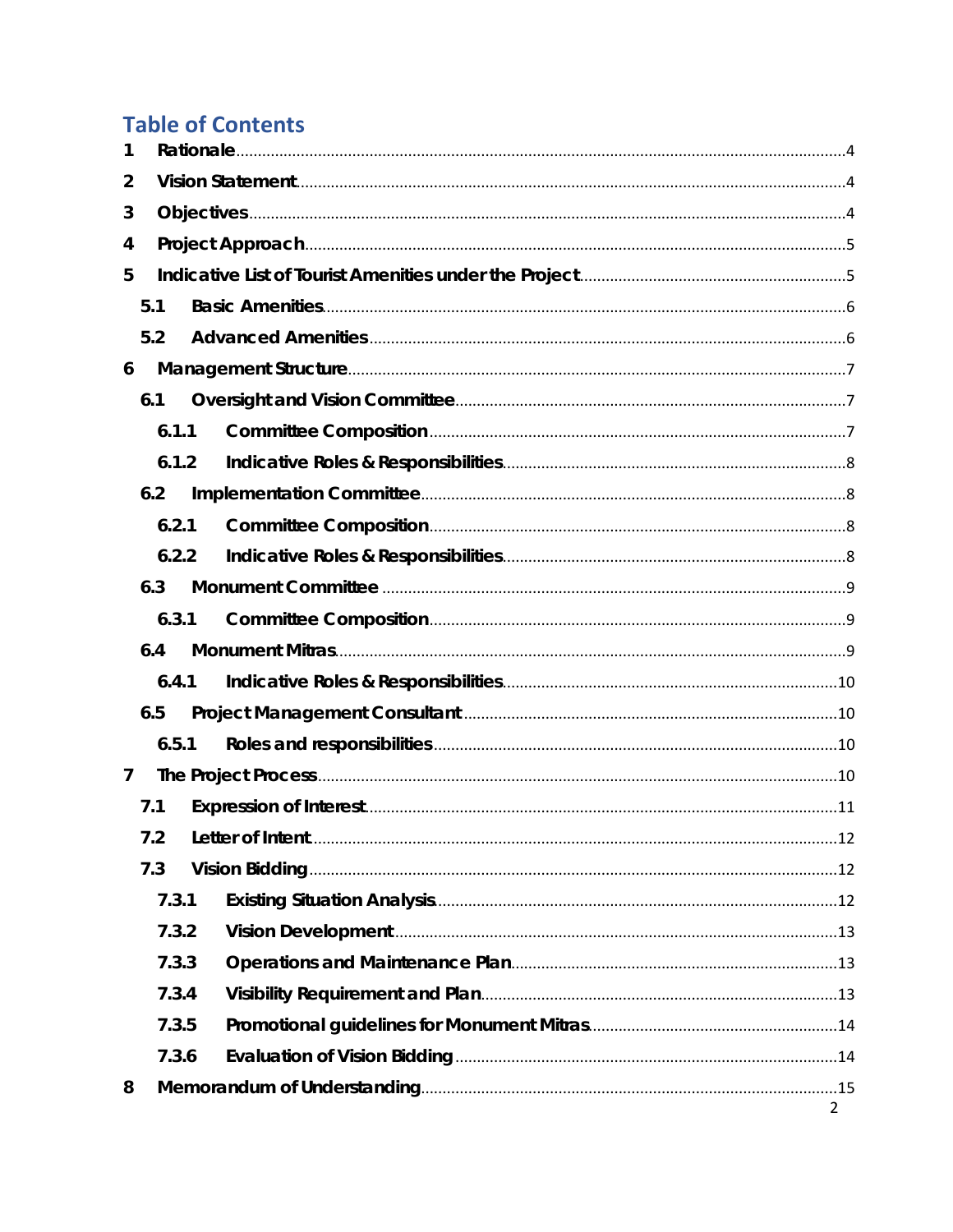## **Table of Contents**

| 1              |       |                |
|----------------|-------|----------------|
| 2              |       |                |
| 3              |       |                |
| 4              |       |                |
| 5              |       |                |
|                | 5.1   |                |
|                | 5.2   |                |
| 6              |       |                |
|                | 6.1   |                |
|                | 6.1.1 |                |
|                | 6.1.2 |                |
|                | 6.2   |                |
|                | 6.2.1 |                |
|                | 6.2.2 |                |
|                | 6.3   |                |
|                | 6.3.1 |                |
|                | 6.4   |                |
|                | 6.4.1 |                |
|                | 6.5   |                |
|                | 6.5.1 |                |
| $\overline{7}$ |       |                |
|                | 7.1   |                |
|                | 7.2   | 12             |
|                | 7.3   |                |
|                | 7.3.1 |                |
|                | 7.3.2 |                |
|                | 7.3.3 |                |
|                | 7.3.4 |                |
|                | 7.3.5 |                |
|                | 7.3.6 |                |
| 8              |       |                |
|                |       | $\overline{2}$ |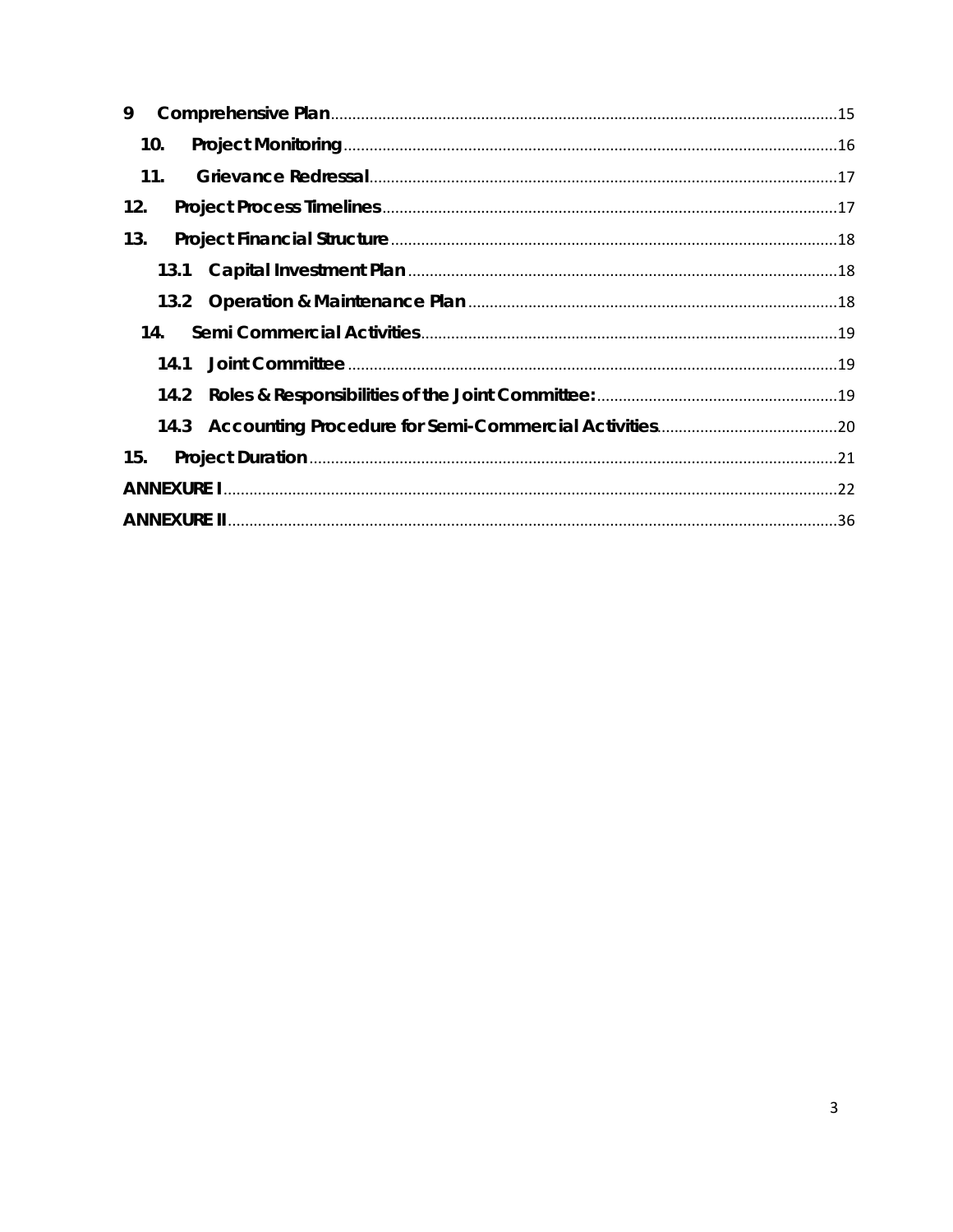| 9    |
|------|
| 10.  |
| 11.  |
| 12.  |
| 13.  |
| 13.1 |
|      |
| 14.  |
| 14.1 |
| 14.2 |
| 14.3 |
| 15.  |
|      |
|      |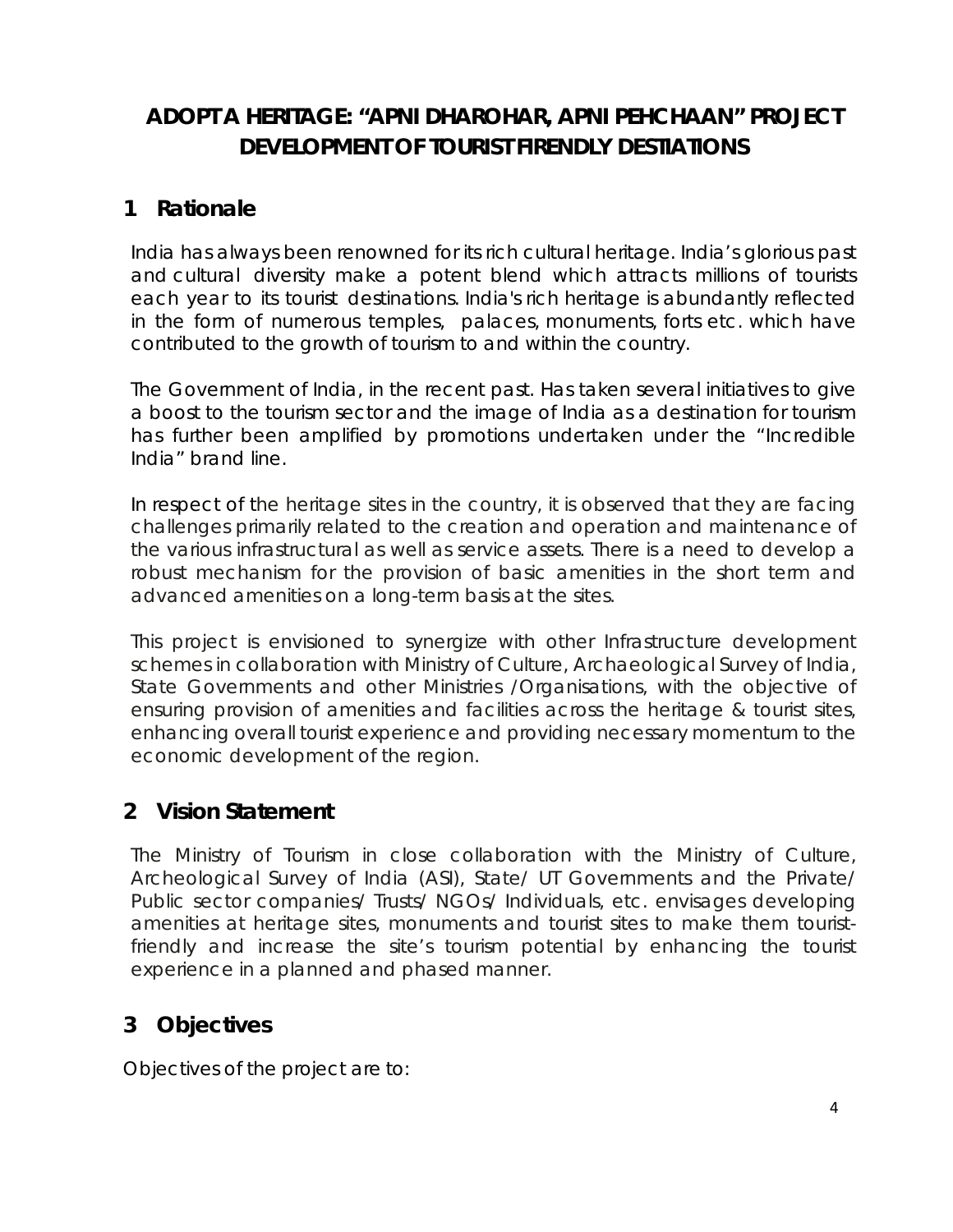### **ADOPT A HERITAGE: "APNI DHAROHAR, APNI PEHCHAAN" PROJECT DEVELOPMENT OF TOURIST FIRENDLY DESTIATIONS**

### <span id="page-3-0"></span>**1 Rationale**

India has always been renowned for its rich cultural heritage. India's glorious past and cultural diversity make a potent blend which attracts millions of tourists each year to its tourist destinations. India's rich heritage is abundantly reflected in the form of numerous temples, palaces, monuments, forts etc. which have contributed to the growth of tourism to and within the country.

The Government of India, in the recent past. Has taken several initiatives to give a boost to the tourism sector and the image of India as a destination for tourism has further been amplified by promotions undertaken under the "Incredible India" brand line.

In respect of the heritage sites in the country, it is observed that they are facing challenges primarily related to the creation and operation and maintenance of the various infrastructural as well as service assets. There is a need to develop a robust mechanism for the provision of basic amenities in the short term and advanced amenities on a long-term basis at the sites.

This project is envisioned to synergize with other Infrastructure development schemes in collaboration with Ministry of Culture, Archaeological Survey of India, State Governments and other Ministries /Organisations, with the objective of ensuring provision of amenities and facilities across the heritage & tourist sites, enhancing overall tourist experience and providing necessary momentum to the economic development of the region.

### <span id="page-3-1"></span>**2 Vision Statement**

The Ministry of Tourism in close collaboration with the Ministry of Culture, Archeological Survey of India (ASI), State/ UT Governments and the Private/ Public sector companies/ Trusts/ NGOs/ Individuals, etc. envisages developing amenities at heritage sites, monuments and tourist sites to make them touristfriendly and increase the site's tourism potential by enhancing the tourist experience in a planned and phased manner.

### <span id="page-3-2"></span>**3 Objectives**

Objectives of the project are to: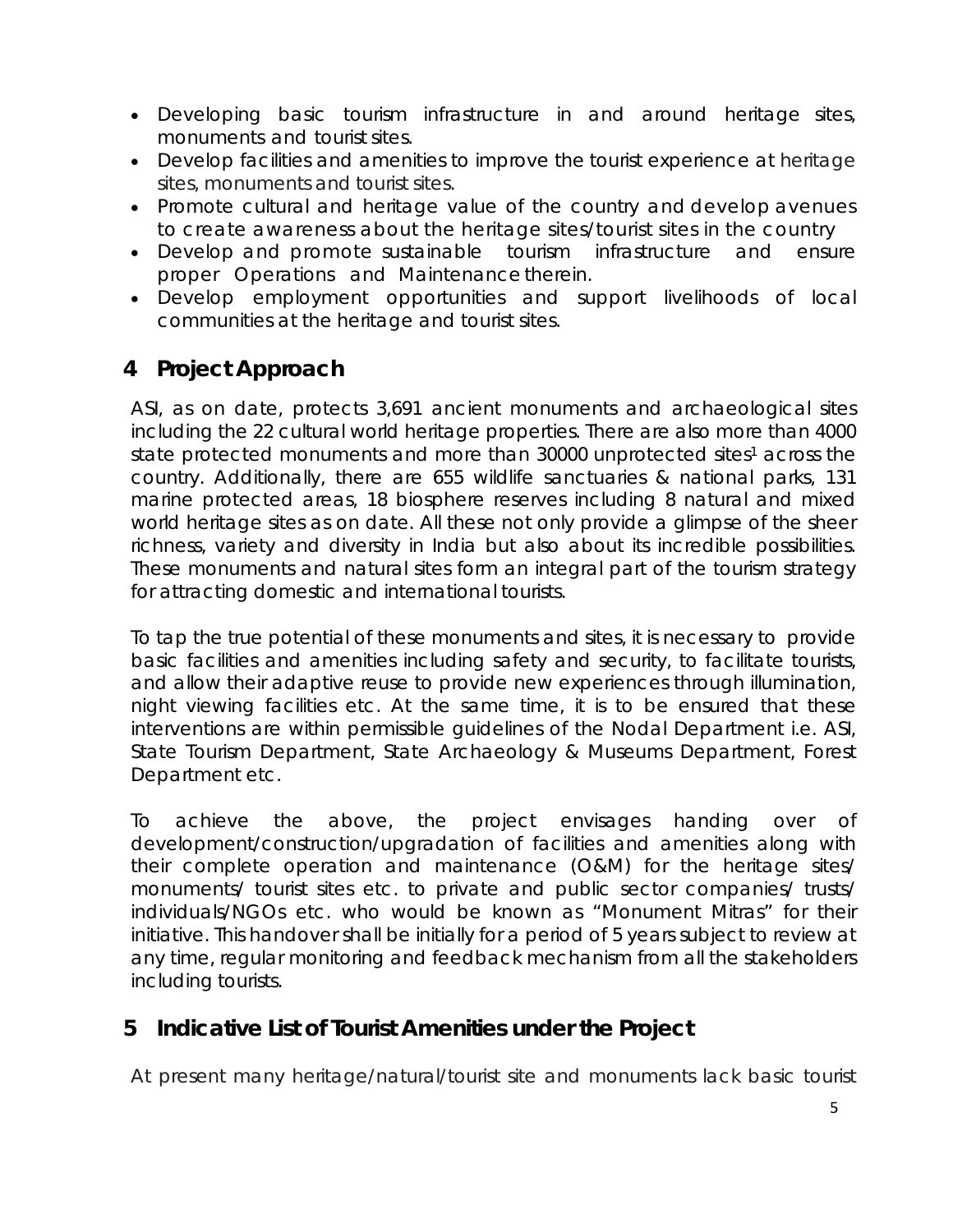- Developing basic tourism infrastructure in and around heritage sites, monuments and tourist sites.
- Develop facilities and amenities to improve the tourist experience at heritage sites, monuments and tourist sites.
- Promote cultural and heritage value of the country and develop avenues to create awareness about the heritage sites/tourist sites in the country
- Develop and promote sustainable tourism infrastructure and ensure proper Operations and Maintenance therein.
- Develop employment opportunities and support livelihoods of local communities at the heritage and tourist sites.

### <span id="page-4-0"></span>**4 Project Approach**

ASI, as on date, protects 3,691 ancient monuments and archaeological sites including the 22 cultural world heritage properties. There are also more than 4000 state protected monuments and more than 30000 unprotected sites<sup>1</sup> across the country. Additionally, there are 655 wildlife sanctuaries & national parks, 131 marine protected areas, 18 biosphere reserves including 8 natural and mixed world heritage sites as on date. All these not only provide a glimpse of the sheer richness, variety and diversity in India but also about its incredible possibilities. These monuments and natural sites form an integral part of the tourism strategy for attracting domestic and international tourists.

To tap the true potential of these monuments and sites, it is necessary to provide basic facilities and amenities including safety and security, to facilitate tourists, and allow their adaptive reuse to provide new experiences through illumination, night viewing facilities etc. At the same time, it is to be ensured that these interventions are within permissible guidelines of the Nodal Department i.e. ASI, State Tourism Department, State Archaeology & Museums Department, Forest Department etc.

To achieve the above, the project envisages handing over of development/construction/upgradation of facilities and amenities along with their complete operation and maintenance (O&M) for the heritage sites/ monuments/ tourist sites etc. to private and public sector companies/ trusts/ individuals/NGOs etc. who would be known as "Monument Mitras" for their initiative. This handover shall be initially for a period of 5 years subject to review at any time, regular monitoring and feedback mechanism from all the stakeholders including tourists.

### <span id="page-4-1"></span>**5 Indicative List of Tourist Amenities under the Project**

At present many heritage/natural/tourist site and monuments lack basic tourist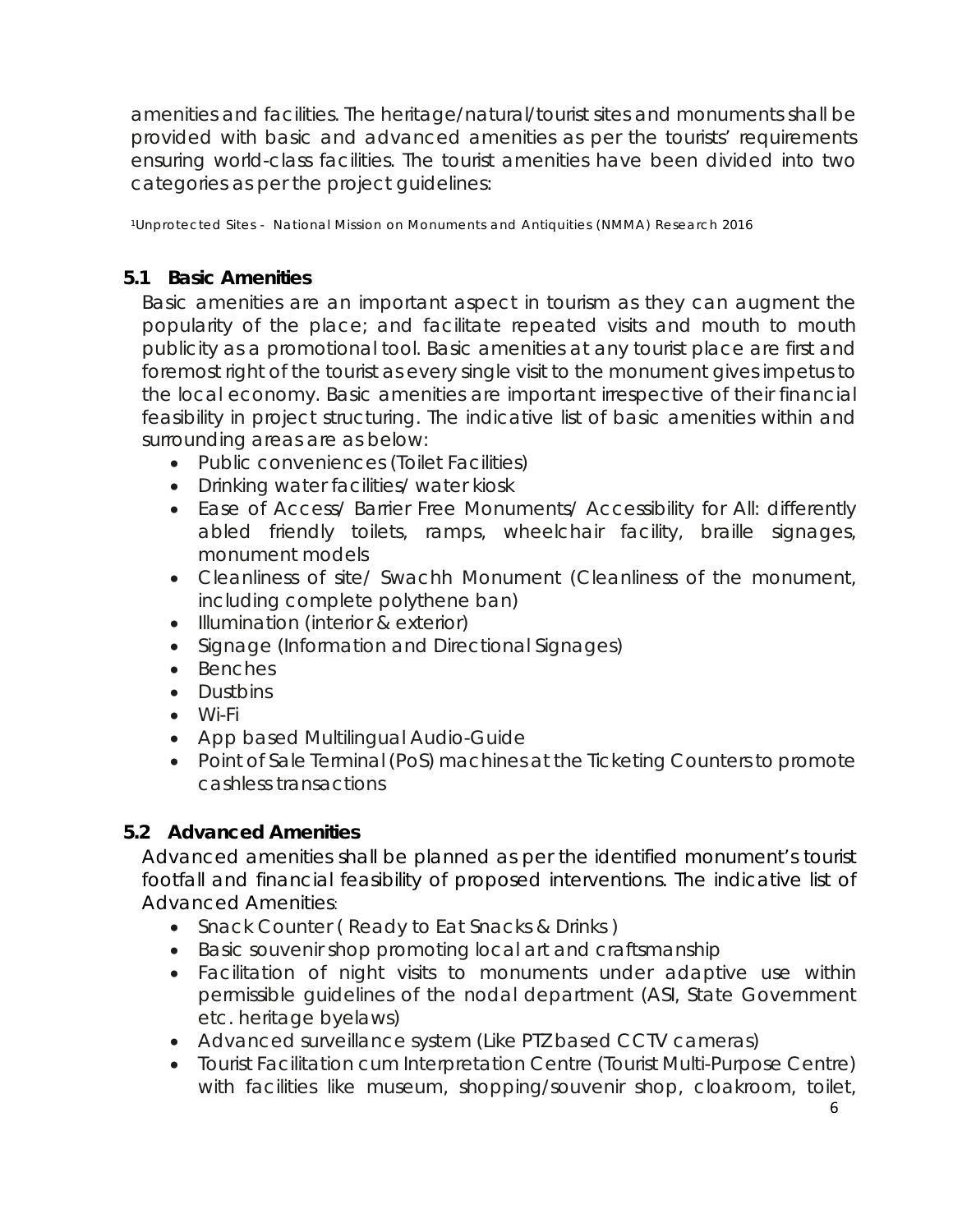amenities and facilities. The heritage/natural/tourist sites and monuments shall be provided with basic and advanced amenities as per the tourists' requirements ensuring world-class facilities. The tourist amenities have been divided into two categories as per the project guidelines:

1Unprotected Sites - National Mission on Monuments and Antiquities (NMMA) Research 2016

### <span id="page-5-0"></span>*5.1 Basic Amenities*

Basic amenities are an important aspect in tourism as they can augment the popularity of the place; and facilitate repeated visits and mouth to mouth publicity as a promotional tool. Basic amenities at any tourist place are first and foremost right of the tourist as every single visit to the monument gives impetus to the local economy. Basic amenities are important irrespective of their financial feasibility in project structuring. The indicative list of basic amenities within and surrounding areas are as below:

- Public conveniences (Toilet Facilities)
- Drinking water facilities/ water kiosk
- Ease of Access/ Barrier Free Monuments/ Accessibility for All: differently abled friendly toilets, ramps, wheelchair facility, braille signages, monument models
- Cleanliness of site/ Swachh Monument (Cleanliness of the monument, including complete polythene ban)
- Illumination (interior & exterior)
- Signage (Information and Directional Signages)
- Benches
- Dustbins
- Wi-Fi
- App based Multilingual Audio-Guide
- Point of Sale Terminal (PoS) machines at the Ticketing Counters to promote cashless transactions

### <span id="page-5-1"></span>*5.2 Advanced Amenities*

Advanced amenities shall be planned as per the identified monument's tourist footfall and financial feasibility of proposed interventions. The indicative list *of Advanced Amenities*:

- Snack Counter (Ready to Eat Snacks & Drinks)
- Basic souvenir shop promoting local art and craftsmanship
- Facilitation of night visits to monuments under adaptive use within permissible guidelines of the nodal department (ASI, State Government etc. heritage byelaws)
- Advanced surveillance system (Like PTZ based CCTV cameras)
- Tourist Facilitation cum Interpretation Centre (Tourist Multi-Purpose Centre) with facilities like museum, shopping/souvenir shop, cloakroom, toilet,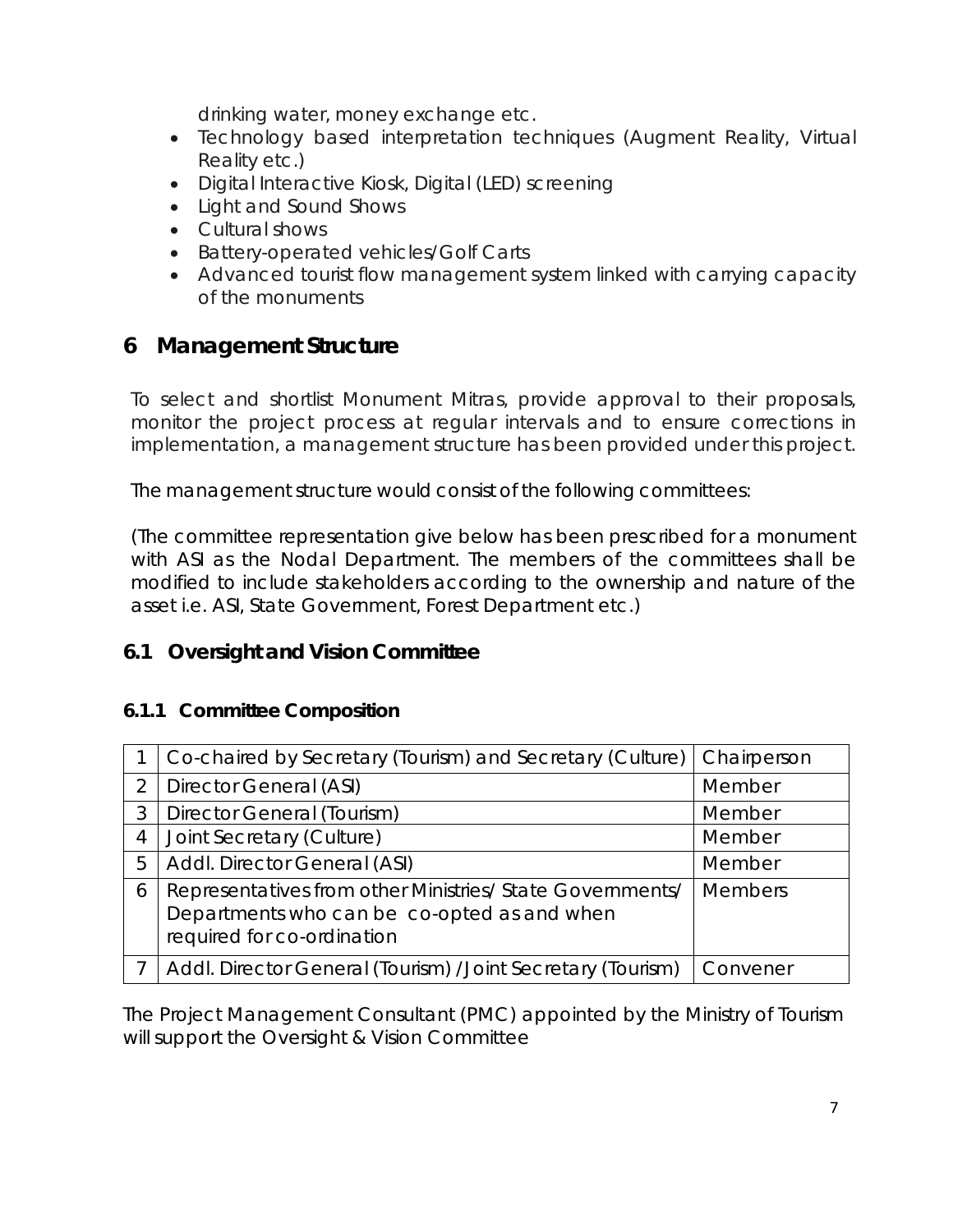drinking water, money exchange etc.

- Technology based interpretation techniques (Augment Reality, Virtual Reality etc.)
- Digital Interactive Kiosk, Digital (LED) screening
- Light and Sound Shows
- Cultural shows
- Battery-operated vehicles/Golf Carts
- Advanced tourist flow management system linked with carrying capacity of the monuments

### <span id="page-6-0"></span>**6 Management Structure**

To select and shortlist Monument Mitras, provide approval to their proposals, monitor the project process at regular intervals and to ensure corrections in implementation, a management structure has been provided under this project.

The management structure would consist of the following committees:

(The committee representation give below has been prescribed for a monument with ASI as the Nodal Department. The members of the committees shall be modified to include stakeholders according to the ownership and nature of the asset i.e. ASI, State Government, Forest Department etc.)

### <span id="page-6-1"></span>**6.1** *Oversight and Vision Committee*

### <span id="page-6-2"></span>**6.1.1 Committee Composition**

|   | Co-chaired by Secretary (Tourism) and Secretary (Culture)   Chairperson                                                                |                |
|---|----------------------------------------------------------------------------------------------------------------------------------------|----------------|
| 2 | Director General (ASI)                                                                                                                 | Member         |
| 3 | Director General (Tourism)                                                                                                             | Member         |
| 4 | Joint Secretary (Culture)                                                                                                              | Member         |
| 5 | Addl. Director General (ASI)                                                                                                           | Member         |
| 6 | Representatives from other Ministries/ State Governments/<br>Departments who can be co-opted as and when<br>required for co-ordination | <b>Members</b> |
|   | Addl. Director General (Tourism) / Joint Secretary (Tourism)                                                                           | Convener       |

The Project Management Consultant (PMC) appointed by the Ministry of Tourism will support the Oversight & Vision Committee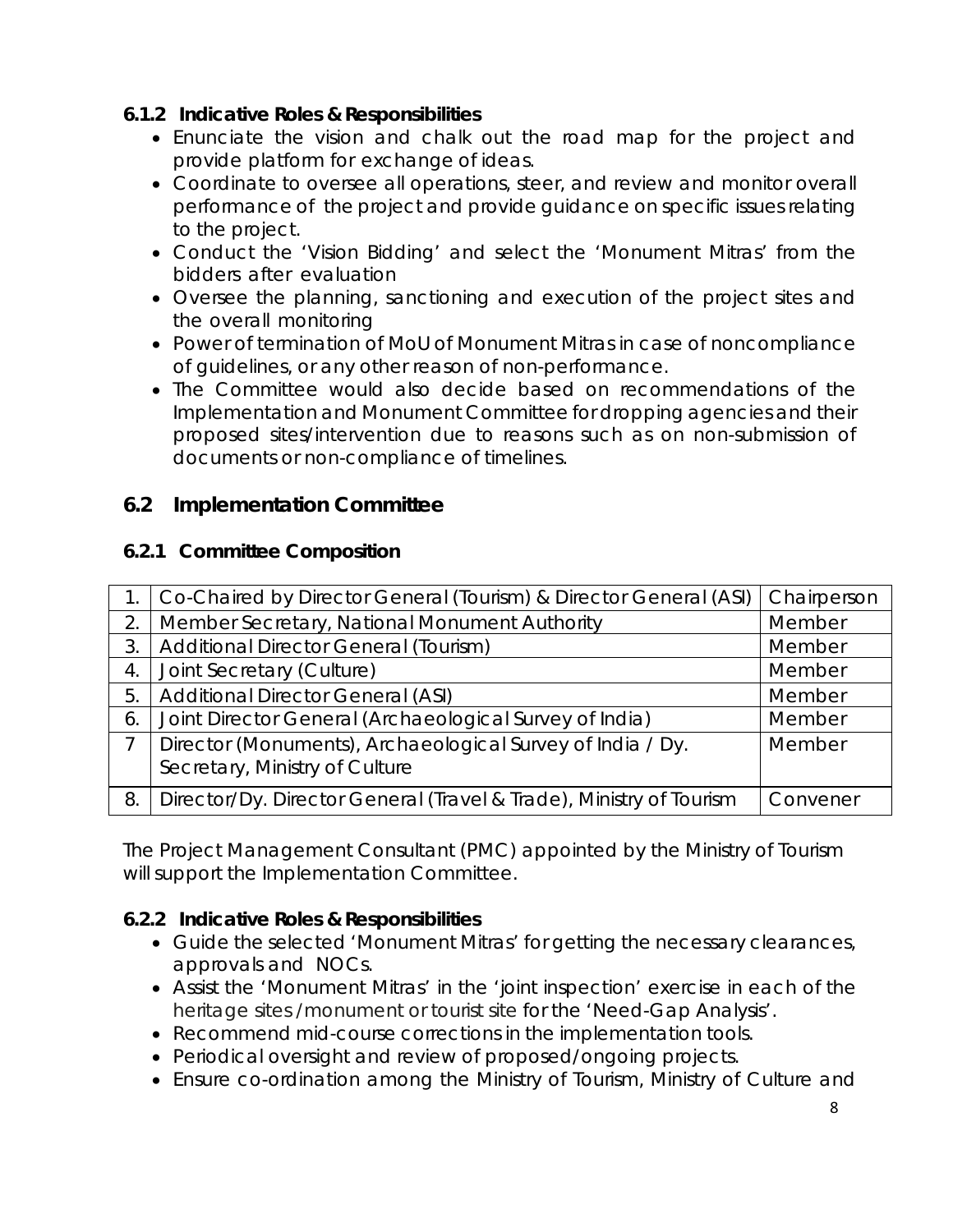### <span id="page-7-0"></span>**6.1.2 Indicative Roles & Responsibilities**

- Enunciate the vision and chalk out the road map for the project and provide platform for exchange of ideas.
- Coordinate to oversee all operations, steer, and review and monitor overall performance of the project and provide guidance on specific issues relating to the project.
- Conduct the 'Vision Bidding' and select the 'Monument Mitras' from the bidders after evaluation
- Oversee the planning, sanctioning and execution of the project sites and the overall monitoring
- Power of termination of MoU of Monument Mitras in case of noncompliance of guidelines, or any other reason of non-performance.
- The Committee would also decide based on recommendations of the Implementation and Monument Committee for dropping agencies and their proposed sites/intervention due to reasons such as on non-submission of documents or non-compliance of timelines.

### <span id="page-7-1"></span>**6.2** *Implementation Committee*

### <span id="page-7-2"></span>**6.2.1 Committee Composition**

|                  | Co-Chaired by Director General (Tourism) & Director General (ASI)   | <b>Chairperson</b> |
|------------------|---------------------------------------------------------------------|--------------------|
| 2.               | Member Secretary, National Monument Authority                       | Member             |
| 3.               | Additional Director General (Tourism)                               | Member             |
| $\overline{4}$ . | Joint Secretary (Culture)                                           | Member             |
| 5.               | <b>Additional Director General (ASI)</b>                            | Member             |
| 6.               | Joint Director General (Archaeological Survey of India)             | Member             |
| 7                | Director (Monuments), Archaeological Survey of India / Dy.          | Member             |
|                  | Secretary, Ministry of Culture                                      |                    |
| 8.               | Director/Dy. Director General (Travel & Trade), Ministry of Tourism | Convener           |

The Project Management Consultant (PMC) appointed by the Ministry of Tourism will support the Implementation Committee.

### <span id="page-7-3"></span>**6.2.2 Indicative Roles & Responsibilities**

- Guide the selected 'Monument Mitras' for getting the necessary clearances, approvals and NOCs.
- Assist the 'Monument Mitras' in the 'joint inspection' exercise in each of the heritage sites /monument or tourist site for the 'Need-Gap Analysis'.
- Recommend mid-course corrections in the implementation tools.
- Periodical oversight and review of proposed/ongoing projects.
- Ensure co-ordination among the Ministry of Tourism, Ministry of Culture and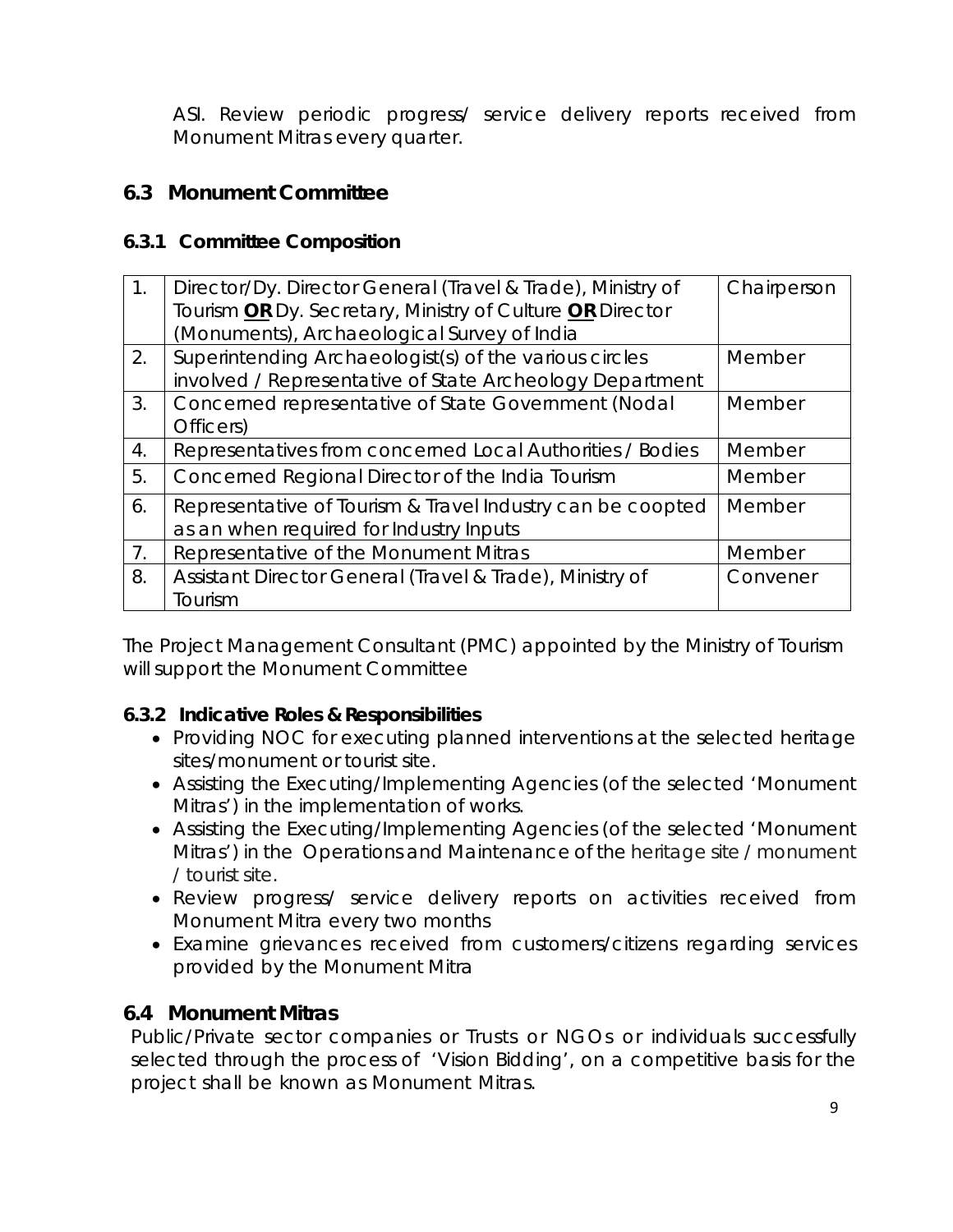ASI. Review periodic progress/ service delivery reports received from Monument Mitras every quarter.

### <span id="page-8-0"></span>*6.3 Monument Committee*

### <span id="page-8-1"></span>**6.3.1 Committee Composition**

| $1_{\cdot}$    | Director/Dy. Director General (Travel & Trade), Ministry of<br>Tourism OR Dy. Secretary, Ministry of Culture OR Director<br>(Monuments), Archaeological Survey of India | Chairperson |
|----------------|-------------------------------------------------------------------------------------------------------------------------------------------------------------------------|-------------|
| 2.             | Superintending Archaeologist(s) of the various circles<br>involved / Representative of State Archeology Department                                                      | Member      |
| 3.             | Concerned representative of State Government (Nodal<br>Officers)                                                                                                        | Member      |
| 4.             | Representatives from concerned Local Authorities / Bodies                                                                                                               | Member      |
| 5.             | Concerned Regional Director of the India Tourism                                                                                                                        | Member      |
| 6.             | Representative of Tourism & Travel Industry can be coopted<br>as an when required for Industry Inputs                                                                   | Member      |
| 7 <sub>1</sub> | Representative of the Monument Mitras                                                                                                                                   | Member      |
| 8.             | Assistant Director General (Travel & Trade), Ministry of<br>Tourism                                                                                                     | Convener    |

The Project Management Consultant (PMC) appointed by the Ministry of Tourism will support the Monument Committee

### **6.3.2 Indicative Roles & Responsibilities**

- Providing NOC for executing planned interventions at the selected heritage sites/monument or tourist site.
- Assisting the Executing/Implementing Agencies (of the selected 'Monument Mitras') in the implementation of works.
- Assisting the Executing/Implementing Agencies (of the selected 'Monument Mitras') in the Operations and Maintenance of the heritage site / monument / tourist site.
- Review progress/ service delivery reports on activities received from Monument Mitra every two months
- Examine grievances received from customers/citizens regarding services provided by the Monument Mitra

### <span id="page-8-2"></span>*6.4 Monument Mitras*

Public/Private sector companies or Trusts or NGOs or individuals successfully selected through the process of 'Vision Bidding', on a competitive basis for the project shall be known as Monument Mitras.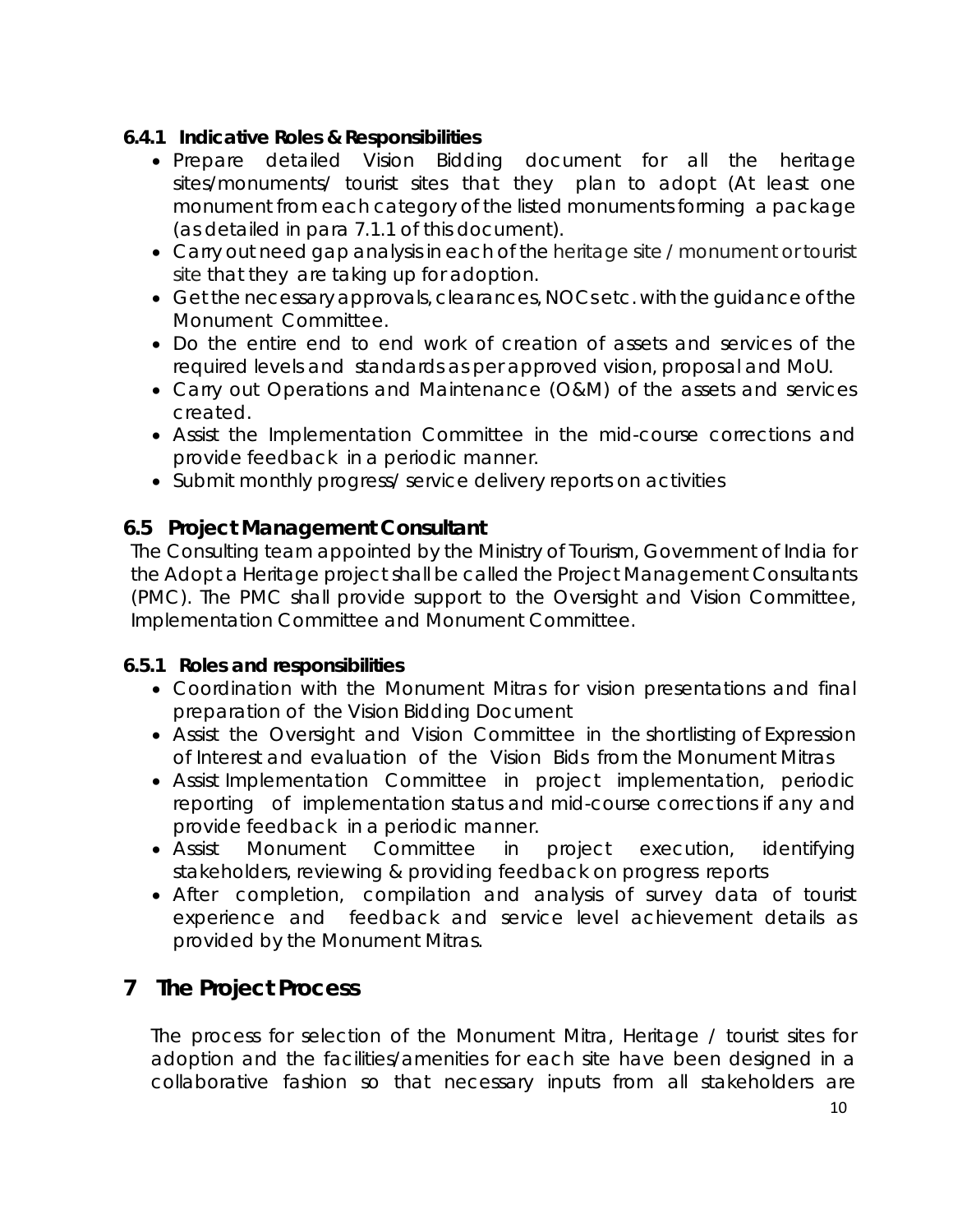### <span id="page-9-0"></span>**6.4.1 Indicative Roles & Responsibilities**

- Prepare detailed Vision Bidding document for all the heritage sites/monuments/ tourist sites that they plan to adopt (At least one monument from each category of the listed monuments forming a package (as detailed in para 7.1.1 of this document).
- Carry out need gap analysis in each of the heritage site / monument or tourist site that they are taking up for adoption.
- Get the necessary approvals, clearances, NOCs etc. with the guidance of the Monument Committee.
- Do the entire end to end work of creation of assets and services of the required levels and standards as per approved vision, proposal and MoU.
- Carry out Operations and Maintenance (O&M) of the assets and services created.
- Assist the Implementation Committee in the mid-course corrections and provide feedback in a periodic manner.
- Submit monthly progress/ service delivery reports on activities

### <span id="page-9-1"></span>*6.5 Project Management Consultant*

The Consulting team appointed by the Ministry of Tourism, Government of India for the Adopt a Heritage project shall be called the Project Management Consultants (PMC). The PMC shall provide support to the Oversight and Vision Committee, Implementation Committee and Monument Committee.

### <span id="page-9-2"></span>**6.5.1 Roles and responsibilities**

- Coordination with the Monument Mitras for vision presentations and final preparation of the Vision Bidding Document
- Assist the Oversight and Vision Committee in the shortlisting of Expression of Interest and evaluation of the Vision Bids from the Monument Mitras
- Assist Implementation Committee in project implementation, periodic reporting of implementation status and mid-course corrections if any and provide feedback in a periodic manner.
- Assist Monument Committee in project execution, identifying stakeholders, reviewing & providing feedback on progress reports
- After completion, compilation and analysis of survey data of tourist experience and feedback and service level achievement details as provided by the Monument Mitras.

### <span id="page-9-3"></span>**7 The Project Process**

The process for selection of the Monument Mitra, Heritage / tourist sites for adoption and the facilities/amenities for each site have been designed in a collaborative fashion so that necessary inputs from all stakeholders are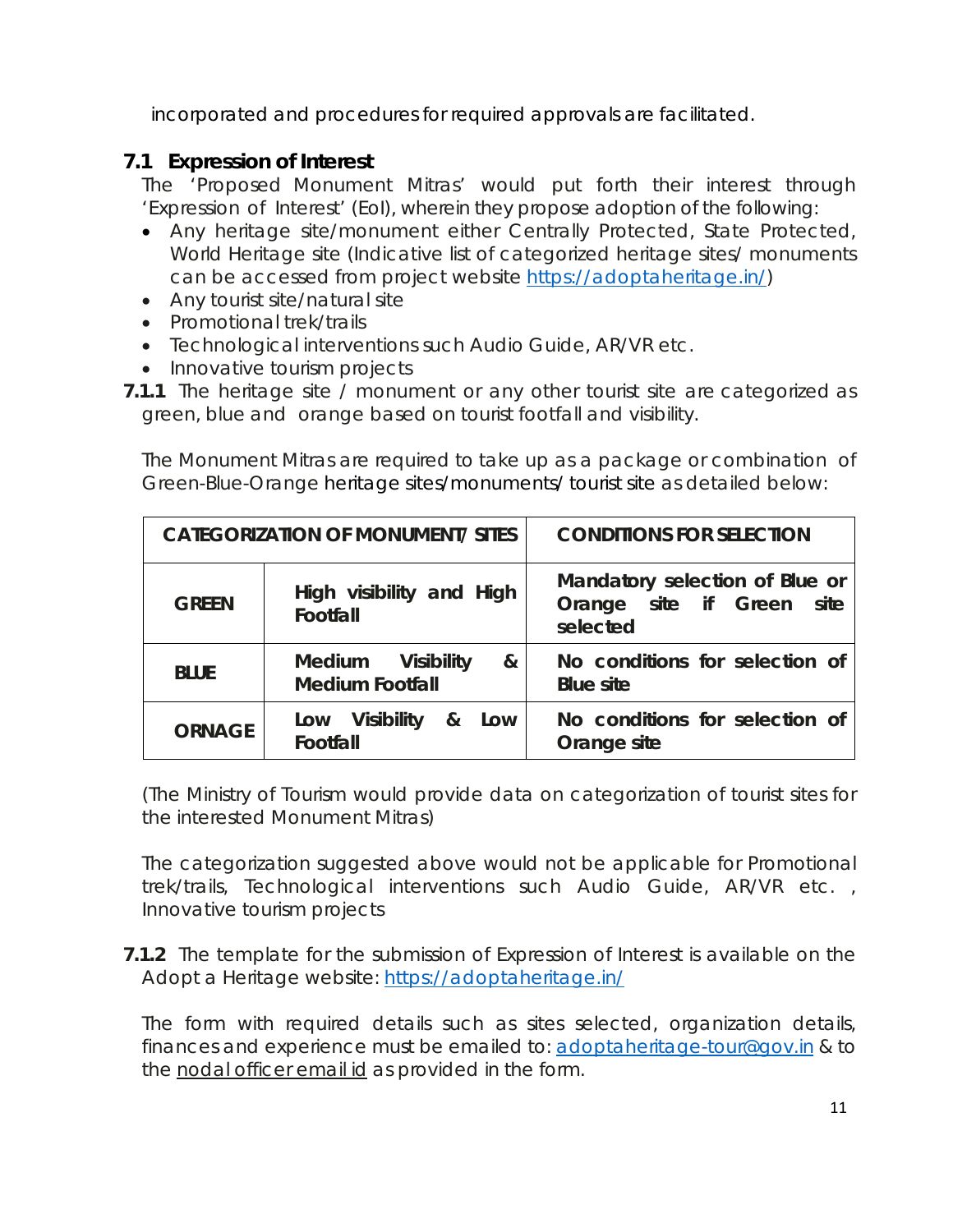incorporated and procedures for required approvals are facilitated.

### <span id="page-10-0"></span>**7.1 Expression of Interest**

The 'Proposed Monument Mitras' would put forth their interest through 'Expression of Interest' (EoI), wherein they propose adoption of the following:

- Any heritage site/monument either Centrally Protected, State Protected, World Heritage site (Indicative list of categorized heritage sites/ monuments can be accessed from project website [https://adoptaheritage.in/\)](https://adoptaheritage.in/)
- Any tourist site/natural site
- Promotional trek/trails
- Technological interventions such Audio Guide, AR/VR etc.
- Innovative tourism projects
- **7.1.1** The heritage site / monument or any other tourist site are categorized as green, blue and orange based on tourist footfall and visibility.

The Monument Mitras are required to take up as a package or combination of Green-Blue-Orange heritage sites/monuments/ tourist site as detailed below:

| <b>CATEGORIZATION OF MONUMENT/ SITES</b> |                                                  | <b>CONDITIONS FOR SELECTION</b>                                            |  |
|------------------------------------------|--------------------------------------------------|----------------------------------------------------------------------------|--|
| <b>GREEN</b>                             | High visibility and High<br>Footfall             | Mandatory selection of Blue or<br>Orange site if Green<br>site<br>selected |  |
| <b>BLUE</b>                              | Medium Visibility<br>&<br><b>Medium Footfall</b> | No conditions for selection of<br><b>Blue site</b>                         |  |
| <b>ORNAGE</b>                            | Low Visibility<br>&<br>Low<br>Footfall           | No conditions for selection of<br>Orange site                              |  |

(The Ministry of Tourism would provide data on categorization of tourist sites for the interested Monument Mitras)

The categorization suggested above would not be applicable for Promotional trek/trails, Technological interventions such Audio Guide, AR/VR etc. , Innovative tourism projects

**7.1.2** The template for the submission of Expression of Interest is available on the Adopt a Heritage website:<https://adoptaheritage.in/>

The form with required details such as sites selected, organization details, finances and experience must be emailed to: [adoptaheritage-tour@gov.in](mailto:adoptaheritage-tour@gov.in) & to the nodal officer email id as provided in the form.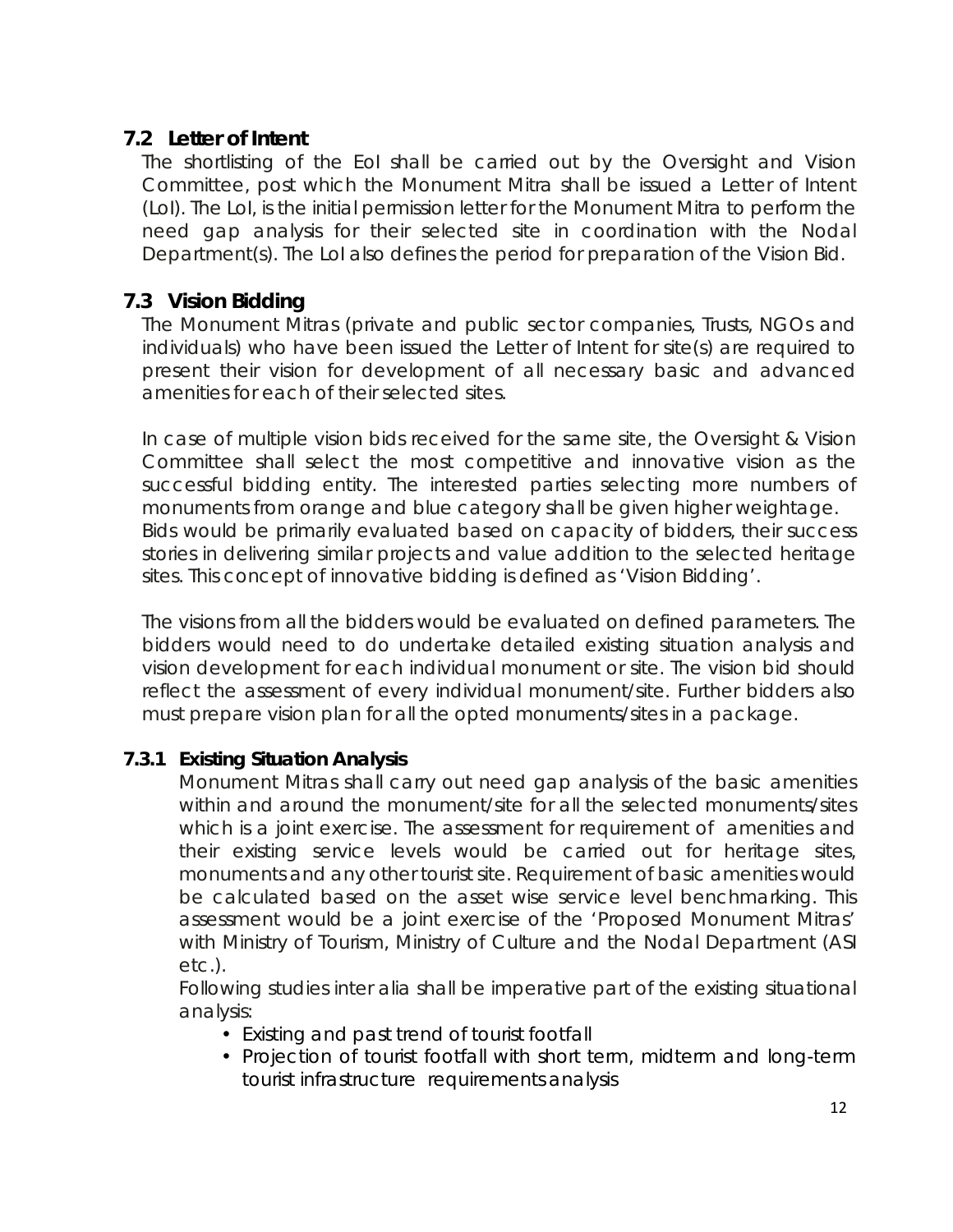### <span id="page-11-0"></span>**7.2 Letter of Intent**

The shortlisting of the EoI shall be carried out by the Oversight and Vision Committee, post which the Monument Mitra shall be issued a Letter of Intent (LoI). The LoI, is the initial permission letter for the Monument Mitra to perform the need gap analysis for their selected site in coordination with the Nodal Department(s). The LoI also defines the period for preparation of the Vision Bid.

### <span id="page-11-1"></span>**7.3 Vision Bidding**

The Monument Mitras (private and public sector companies, Trusts, NGOs and individuals) who have been issued the Letter of Intent for site(s) are required to present their vision for development of all necessary basic and advanced amenities for each of their selected sites.

In case of multiple vision bids received for the same site, the Oversight & Vision Committee shall select the most competitive and innovative vision as the successful bidding entity. The interested parties selecting more numbers of monuments from orange and blue category shall be given higher weightage. Bids would be primarily evaluated based on capacity of bidders, their success stories in delivering similar projects and value addition to the selected heritage sites. This concept of innovative bidding is defined as 'Vision Bidding'.

The visions from all the bidders would be evaluated on defined parameters. The bidders would need to do undertake detailed existing situation analysis and vision development for each individual monument or site. The vision bid should reflect the assessment of every individual monument/site. Further bidders also must prepare vision plan for all the opted monuments/sites in a package.

### <span id="page-11-2"></span>*7.3.1 Existing Situation Analysis*

Monument Mitras shall carry out need gap analysis of the basic amenities within and around the monument/site for all the selected monuments/sites which is a joint exercise. The assessment for requirement of amenities and their existing service levels would be carried out for heritage sites, monuments and any other tourist site. Requirement of basic amenities would be calculated based on the asset wise service level benchmarking. This assessment would be a joint exercise of the 'Proposed Monument Mitras' with Ministry of Tourism, Ministry of Culture and the Nodal Department (ASI etc.).

Following studies inter alia shall be imperative part of the existing situational analysis:

- Existing and past trend of tourist footfall
- Projection of tourist footfall with short term, midterm and long-term tourist infrastructure requirements analysis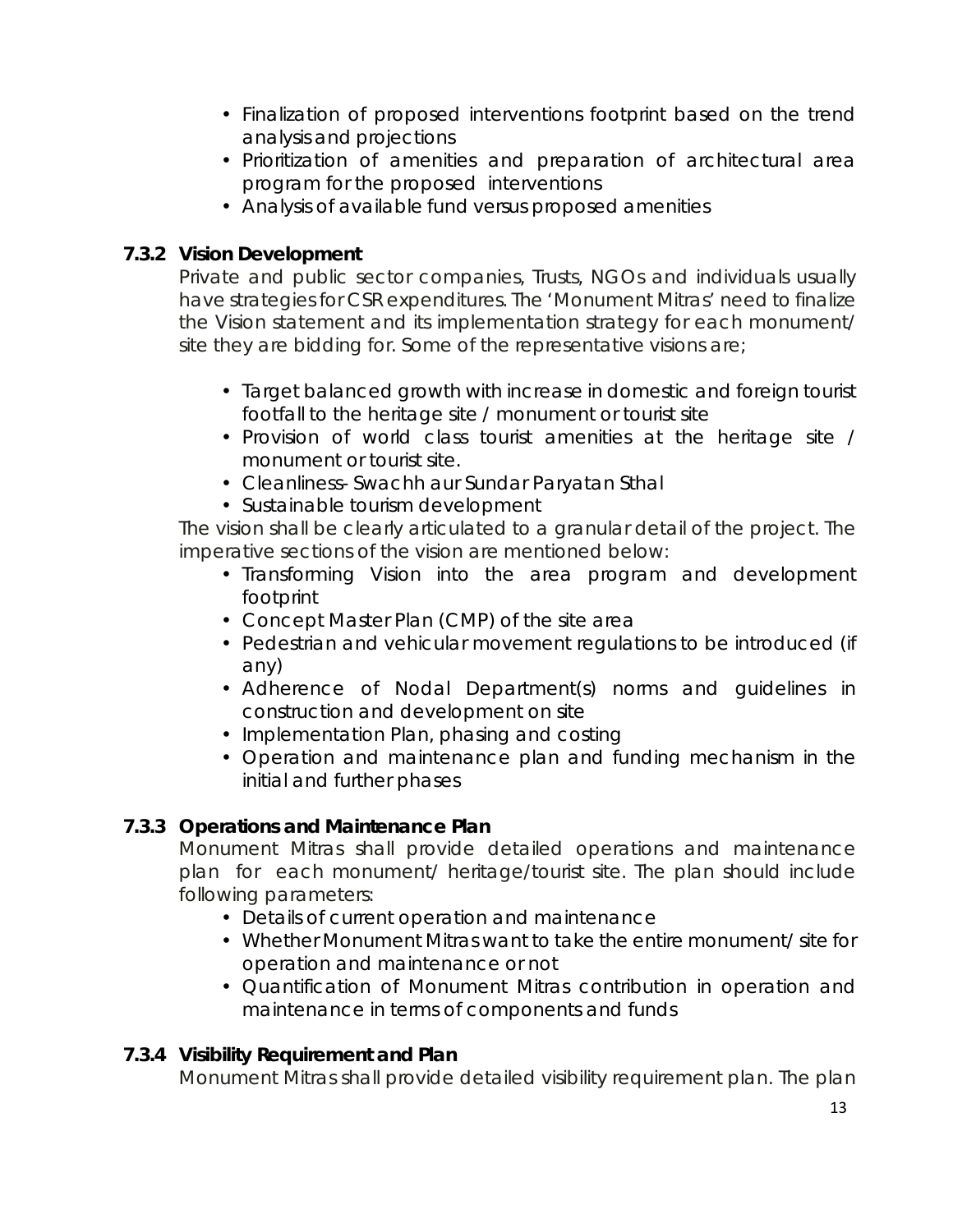- Finalization of proposed interventions footprint based on the trend analysis and projections
- Prioritization of amenities and preparation of architectural area program for the proposed interventions
- Analysis of available fund versus proposed amenities

### <span id="page-12-0"></span>*7.3.2 Vision Development*

Private and public sector companies, Trusts, NGOs and individuals usually have strategies for CSR expenditures. The 'Monument Mitras' need to finalize the Vision statement and its implementation strategy for each monument/ site they are bidding for. Some of the representative visions are;

- Target balanced growth with increase in domestic and foreign tourist footfall to the heritage site / monument or tourist site
- Provision of world class tourist amenities at the heritage site / monument or tourist site.
- Cleanliness- Swachh aur Sundar Paryatan Sthal
- Sustainable tourism development

The vision shall be clearly articulated to a granular detail of the project. The imperative sections of the vision are mentioned below:

- Transforming Vision into the area program and development footprint
- Concept Master Plan (CMP) of the site area
- Pedestrian and vehicular movement regulations to be introduced (if any)
- Adherence of Nodal Department(s) norms and guidelines in construction and development on site
- Implementation Plan, phasing and costing
- Operation and maintenance plan and funding mechanism in the initial and further phases

### <span id="page-12-1"></span>*7.3.3 Operations and Maintenance Plan*

Monument Mitras shall provide detailed operations and maintenance plan for each monument/ heritage/tourist site. The plan should include following parameters:

- Details of current operation and maintenance
- Whether Monument Mitras want to take the entire monument/ site for operation and maintenance or not
- Quantification of Monument Mitras contribution in operation and maintenance in terms of components and funds

### <span id="page-12-2"></span>*7.3.4 Visibility Requirement and Plan*

Monument Mitras shall provide detailed visibility requirement plan. The plan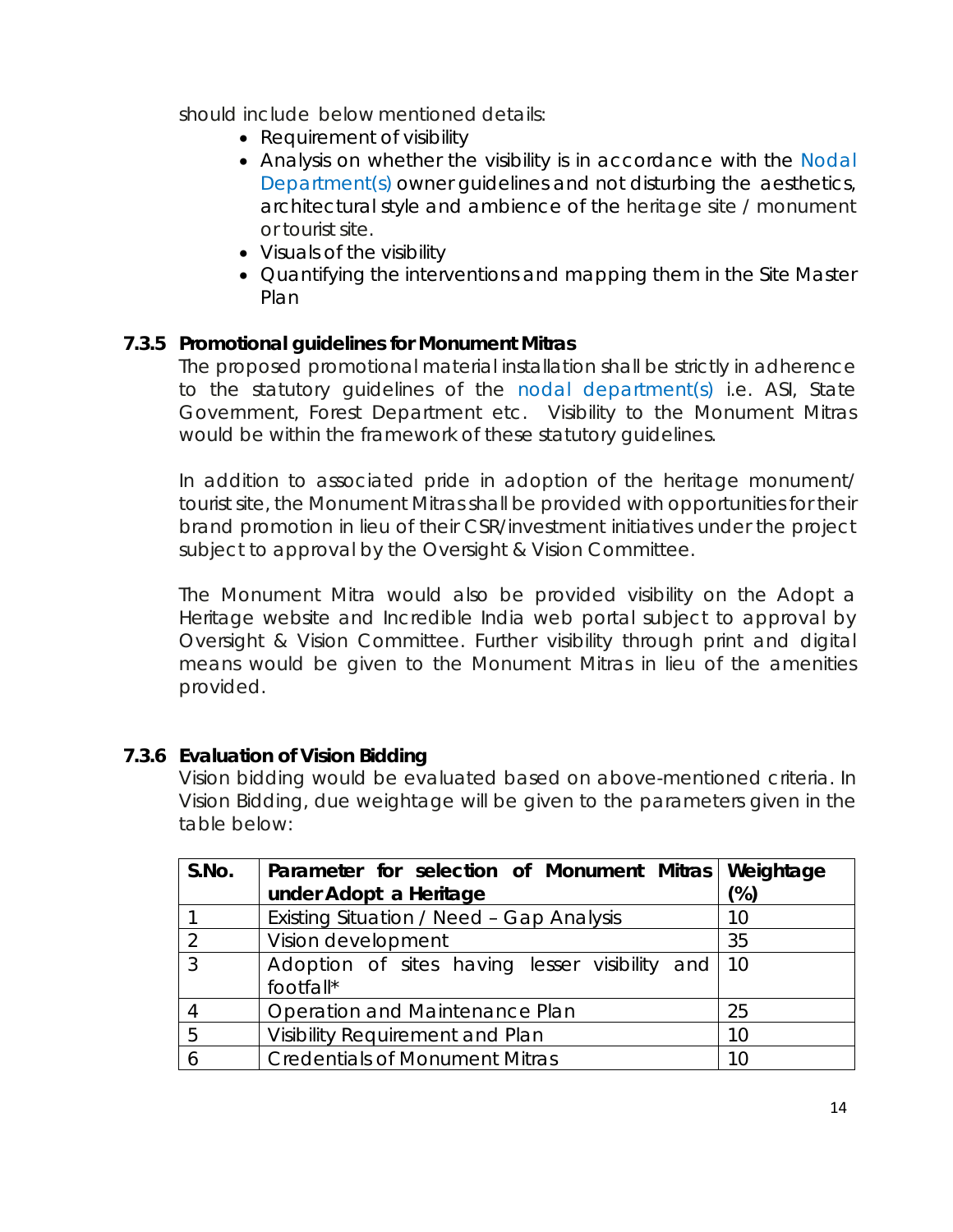should include below mentioned details:

- Requirement of visibility
- Analysis on whether the visibility is in accordance with the Nodal Department(s) owner guidelines and not disturbing the aesthetics, architectural style and ambience of the heritage site / monument or tourist site.
- Visuals of the visibility
- Quantifying the interventions and mapping them in the Site Master Plan

### <span id="page-13-0"></span>*7.3.5 Promotional guidelines for Monument Mitras*

The proposed promotional material installation shall be strictly in adherence to the statutory guidelines of the nodal department(s) i.e. ASI, State Government, Forest Department etc. Visibility to the Monument Mitras would be within the framework of these statutory guidelines.

In addition to associated pride in adoption of the heritage monument/ tourist site, the Monument Mitras shall be provided with opportunities for their brand promotion in lieu of their CSR/investment initiatives under the project subject to approval by the Oversight & Vision Committee.

The Monument Mitra would also be provided visibility on the Adopt a Heritage website and Incredible India web portal subject to approval by Oversight & Vision Committee. Further visibility through print and digital means would be given to the Monument Mitras in lieu of the amenities provided.

### <span id="page-13-1"></span>*7.3.6 Evaluation of Vision Bidding*

Vision bidding would be evaluated based on above-mentioned criteria. In Vision Bidding, due weightage will be given to the parameters given in the table below:

| S.No.    | Parameter for selection of Monument Mitras Weightage |     |
|----------|------------------------------------------------------|-----|
|          | under Adopt a Heritage                               | (%) |
|          | Existing Situation / Need - Gap Analysis             | 10  |
| $\Omega$ | Vision development                                   | 35  |
| 3        | Adoption of sites having lesser visibility and 10    |     |
|          | footfall*                                            |     |
|          | Operation and Maintenance Plan                       | 25  |
| 5        | Visibility Requirement and Plan                      | 10  |
|          | <b>Credentials of Monument Mitras</b>                | 10  |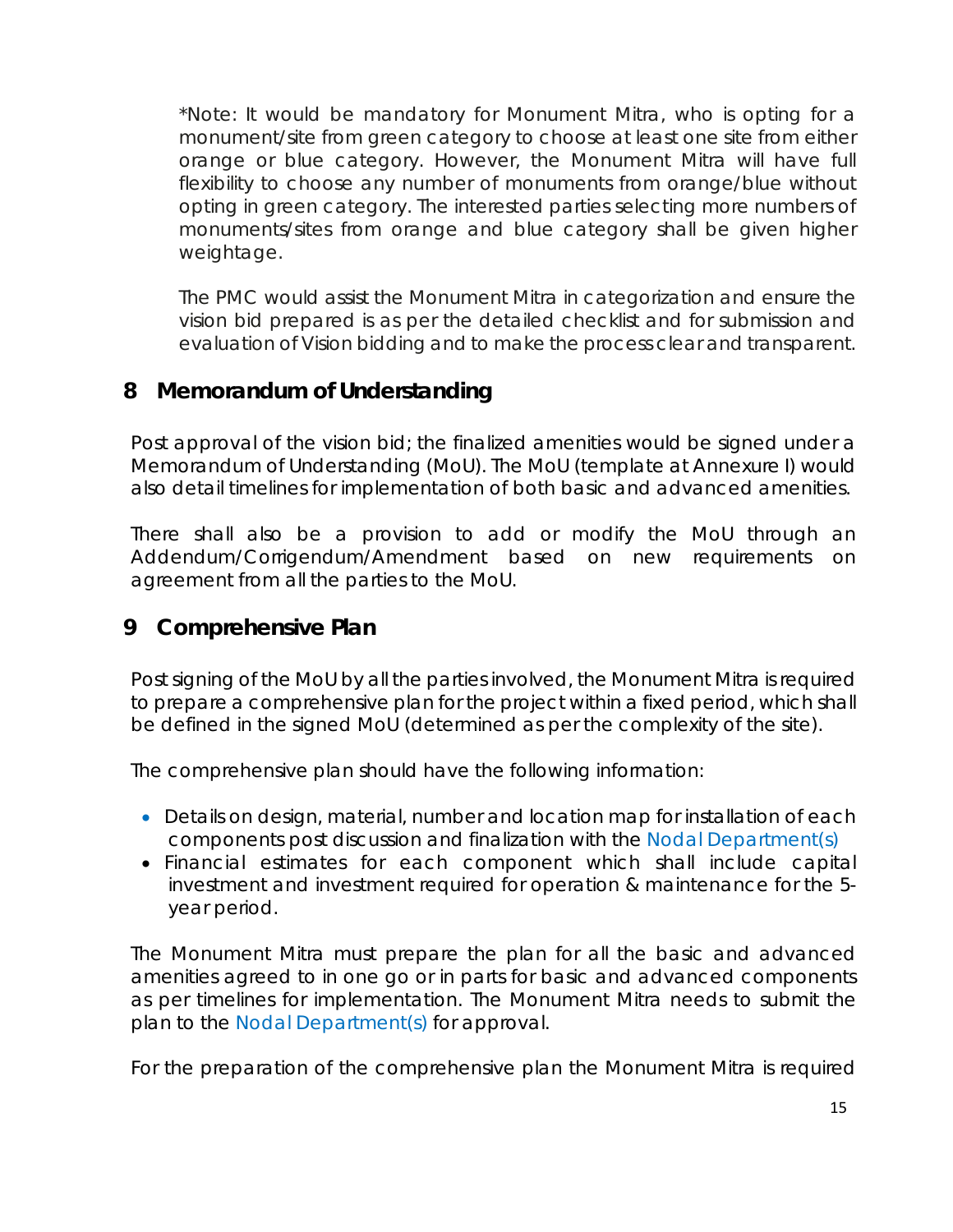\*Note: It would be mandatory for Monument Mitra, who is opting for a monument/site from green category to choose at least one site from either orange or blue category. However, the Monument Mitra will have full flexibility to choose any number of monuments from orange/blue without opting in green category. The interested parties selecting more numbers of monuments/sites from orange and blue category shall be given higher weightage.

The PMC would assist the Monument Mitra in categorization and ensure the vision bid prepared is as per the detailed checklist and for submission and evaluation of Vision bidding and to make the process clear and transparent.

### <span id="page-14-0"></span>**8 Memorandum of Understanding**

Post approval of the vision bid; the finalized amenities would be signed under a Memorandum of Understanding (MoU). The MoU (template at Annexure I) would also detail timelines for implementation of both basic and advanced amenities.

There shall also be a provision to add or modify the MoU through an Addendum/Corrigendum/Amendment based on new requirements on agreement from all the parties to the MoU.

### <span id="page-14-1"></span>**9 Comprehensive Plan**

Post signing of the MoU by all the parties involved, the Monument Mitra is required to prepare a comprehensive plan for the project within a fixed period, which shall be defined in the signed MoU (determined as per the complexity of the site).

The comprehensive plan should have the following information:

- Details on design, material, number and location map for installation of each components post discussion and finalization with the Nodal Department(s)
- Financial estimates for each component which shall include capital investment and investment required for operation & maintenance for the 5 year period.

The Monument Mitra must prepare the plan for all the basic and advanced amenities agreed to in one go or in parts for basic and advanced components as per timelines for implementation. The Monument Mitra needs to submit the plan to the Nodal Department(s) for approval.

For the preparation of the comprehensive plan the Monument Mitra is required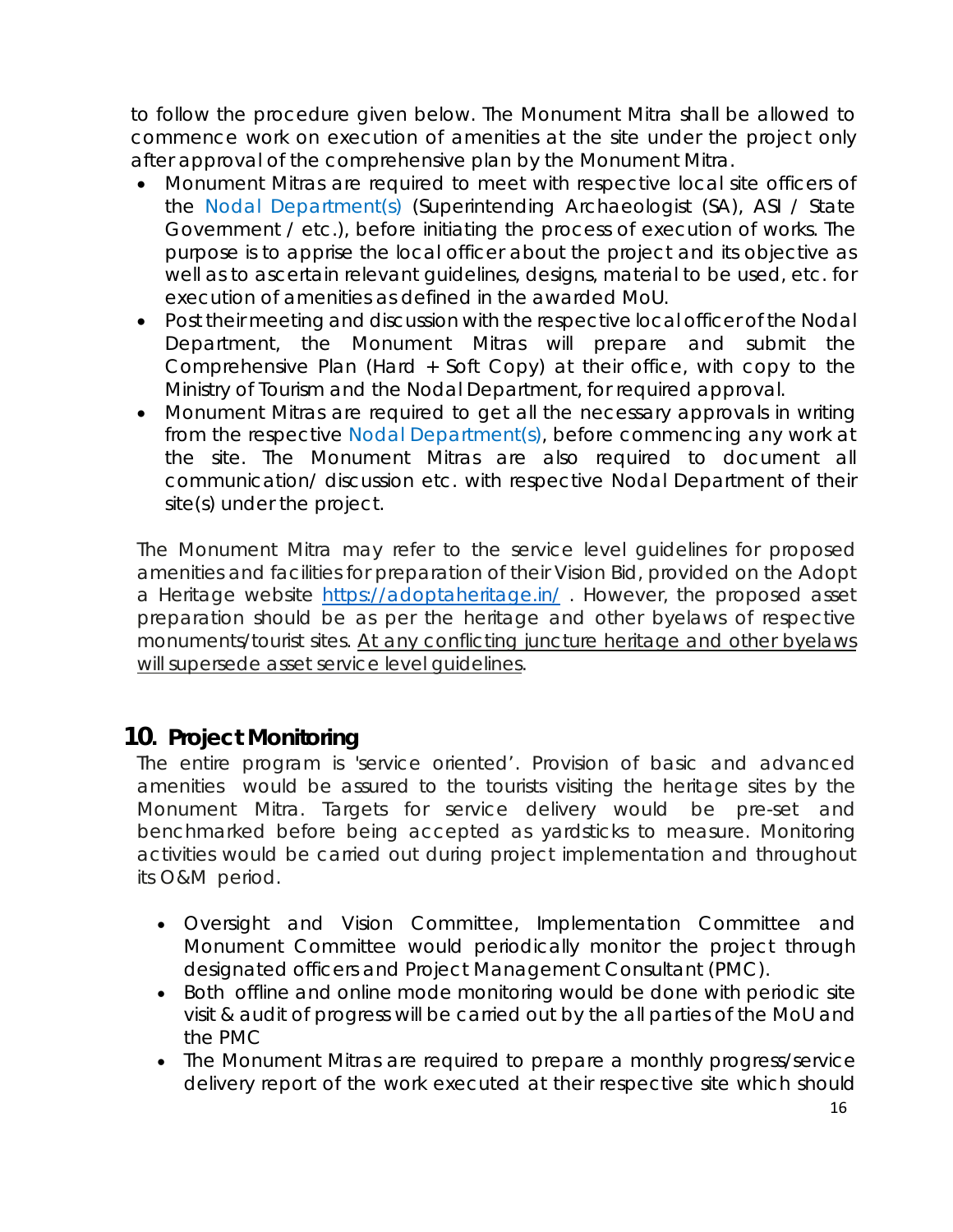to follow the procedure given below. The Monument Mitra shall be allowed to commence work on execution of amenities at the site under the project only after approval of the comprehensive plan by the Monument Mitra.

- Monument Mitras are required to meet with respective local site officers of the Nodal Department(s) (Superintending Archaeologist (SA), ASI / State Government / etc.), before initiating the process of execution of works. The purpose is to apprise the local officer about the project and its objective as well as to ascertain relevant guidelines, designs, material to be used, etc. for execution of amenities as defined in the awarded MoU.
- Post their meeting and discussion with the respective local officer of the Nodal Department, the Monument Mitras will prepare and submit the Comprehensive Plan (Hard + Soft Copy) at their office, with copy to the Ministry of Tourism and the Nodal Department, for required approval.
- Monument Mitras are required to get all the necessary approvals in writing from the respective Nodal Department(s), before commencing any work at the site. The Monument Mitras are also required to document all communication/ discussion etc. with respective Nodal Department of their site(s) under the project.

The Monument Mitra may refer to the service level guidelines for proposed amenities and facilities for preparation of their Vision Bid, provided on the Adopt a Heritage website <https://adoptaheritage.in/>. However, the proposed asset preparation should be as per the heritage and other byelaws of respective monuments/tourist sites. At any conflicting juncture heritage and other byelaws will supersede asset service level guidelines.

### <span id="page-15-0"></span>**10***.* **Project Monitoring**

The entire program is 'service oriented'. Provision of basic and advanced amenities would be assured to the tourists visiting the heritage sites by the Monument Mitra. Targets for service delivery would be pre-set and benchmarked before being accepted as yardsticks to measure. Monitoring activities would be carried out during project implementation and throughout its O&M period.

- Oversight and Vision Committee, Implementation Committee and Monument Committee would periodically monitor the project through designated officers and Project Management Consultant (PMC).
- Both offline and online mode monitoring would be done with periodic site visit & audit of progress will be carried out by the all parties of the MoU and the PMC
- The Monument Mitras are required to prepare a monthly progress/service delivery report of the work executed at their respective site which should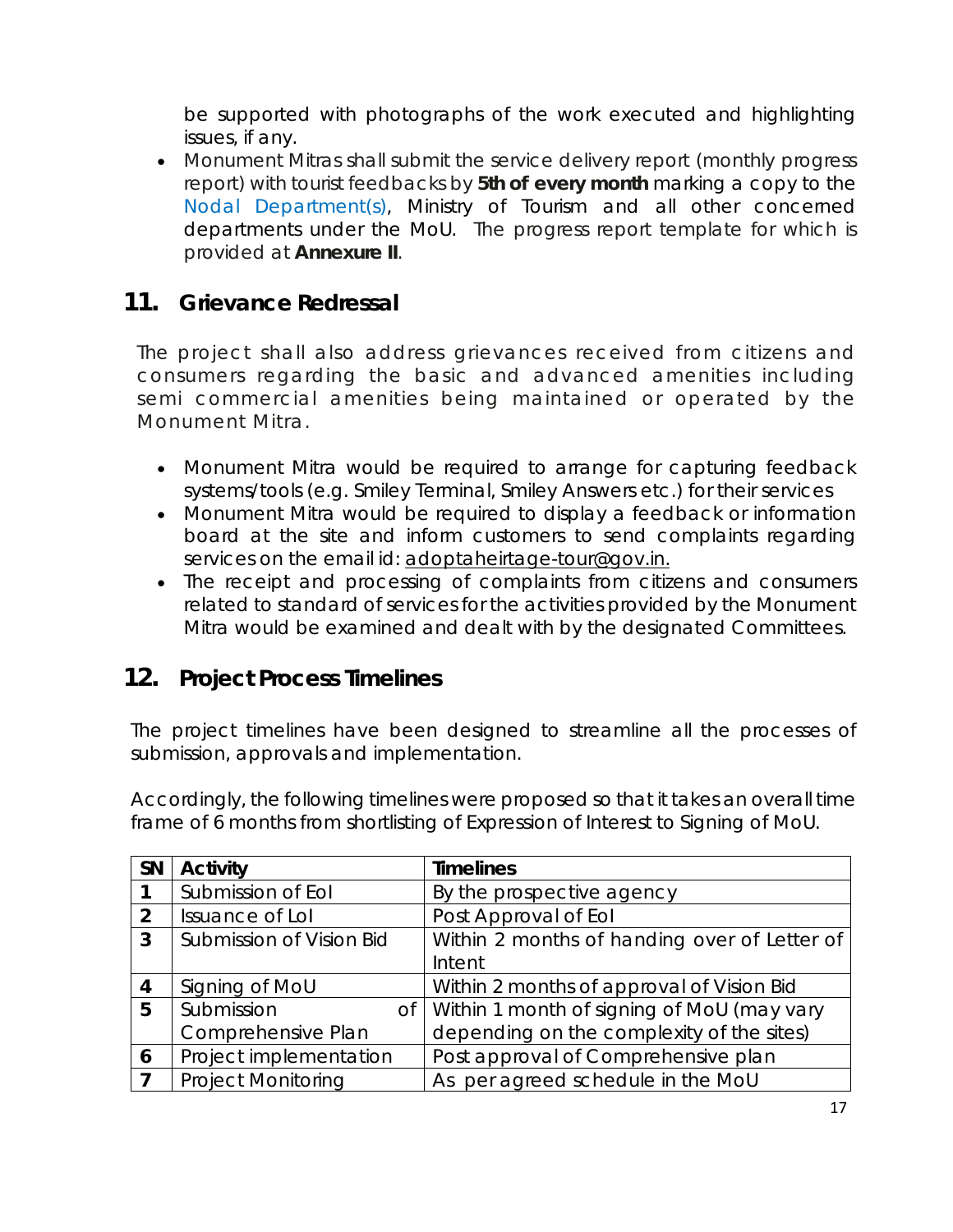be supported with photographs of the work executed and highlighting issues, if any.

• Monument Mitras shall submit the service delivery report (monthly progress report) with tourist feedbacks by **5th of every month** marking a copy to the Nodal Department(s), Ministry of Tourism and all other concerned departments under the MoU. The progress report template for which is provided at **Annexure II**.

### <span id="page-16-0"></span>**11. Grievance Redressal**

The project shall also address grievances received from citizens and consumers regarding the basic and advanced amenities including semi commercial amenities being maintained or operated by the Monument Mitra.

- Monument Mitra would be required to arrange for capturing feedback systems/tools (e.g. Smiley Terminal, Smiley Answers etc.) for their services
- Monument Mitra would be required to display a feedback or information board at the site and inform customers to send complaints regarding services on the email id: [adoptaheirtage-tour@gov.in.](mailto:adoptaheirtage-tour@gov.in)
- The receipt and processing of complaints from citizens and consumers related to standard of services for the activities provided by the Monument Mitra would be examined and dealt with by the designated Committees.

### <span id="page-16-1"></span>**12. Project Process Timelines**

The project timelines have been designed to streamline all the processes of submission, approvals and implementation.

Accordingly, the following timelines were proposed so that it takes an overall time frame of 6 months from shortlisting of Expression of Interest to Signing of MoU.

| <b>SN</b>      | <b>Activity</b>           | <b>Timelines</b>                             |
|----------------|---------------------------|----------------------------------------------|
|                | Submission of Eol         | By the prospective agency                    |
| $\overline{2}$ | Issuance of Lol           | Post Approval of Eol                         |
| 3              | Submission of Vision Bid  | Within 2 months of handing over of Letter of |
|                |                           | Intent                                       |
| $\overline{4}$ | Signing of MoU            | Within 2 months of approval of Vision Bid    |
| 5              | Submission<br>Оf          | Within 1 month of signing of MoU (may vary   |
|                | Comprehensive Plan        | depending on the complexity of the sites)    |
| 6              | Project implementation    | Post approval of Comprehensive plan          |
|                | <b>Project Monitoring</b> | As per agreed schedule in the MoU            |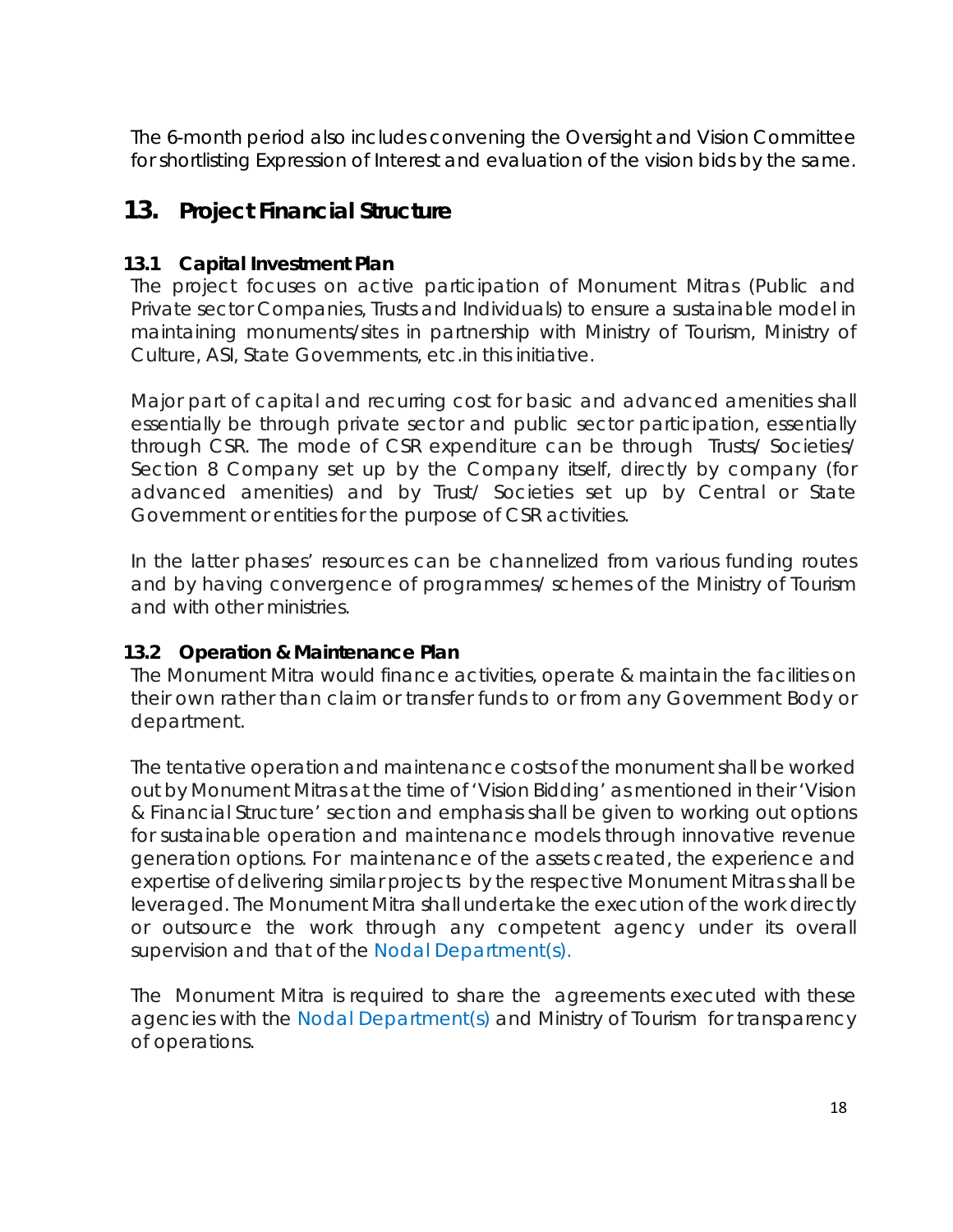The 6-month period also includes convening the Oversight and Vision Committee for shortlisting Expression of Interest and evaluation of the vision bids by the same.

### <span id="page-17-0"></span>**13. Project Financial Structure**

### <span id="page-17-1"></span>**13.1 Capital Investment Plan**

The project focuses on active participation of Monument Mitras (Public and Private sector Companies, Trusts and Individuals) to ensure a sustainable model in maintaining monuments/sites in partnership with Ministry of Tourism, Ministry of Culture, ASI, State Governments, etc.in this initiative.

Major part of capital and recurring cost for basic and advanced amenities shall essentially be through private sector and public sector participation, essentially through CSR. The mode of CSR expenditure can be through Trusts/ Societies/ Section 8 Company set up by the Company itself, directly by company (for advanced amenities) and by Trust/ Societies set up by Central or State Government or entities for the purpose of CSR activities.

In the latter phases' resources can be channelized from various funding routes and by having convergence of programmes/ schemes of the Ministry of Tourism and with other ministries.

### <span id="page-17-2"></span>**13.2 Operation & Maintenance Plan**

The Monument Mitra would finance activities, operate & maintain the facilities on their own rather than claim or transfer funds to or from any Government Body or department.

The tentative operation and maintenance costs of the monument shall be worked out by Monument Mitras at the time of 'Vision Bidding' as mentioned in their 'Vision & Financial Structure' section and emphasis shall be given to working out options for sustainable operation and maintenance models through innovative revenue generation options. For maintenance of the assets created, the experience and expertise of delivering similar projects by the respective Monument Mitras shall be leveraged. The Monument Mitra shall undertake the execution of the work directly or outsource the work through any competent agency under its overall supervision and that of the Nodal Department(s).

The Monument Mitra is required to share the agreements executed with these agencies with the Nodal Department(s) and Ministry of Tourism for transparency of operations.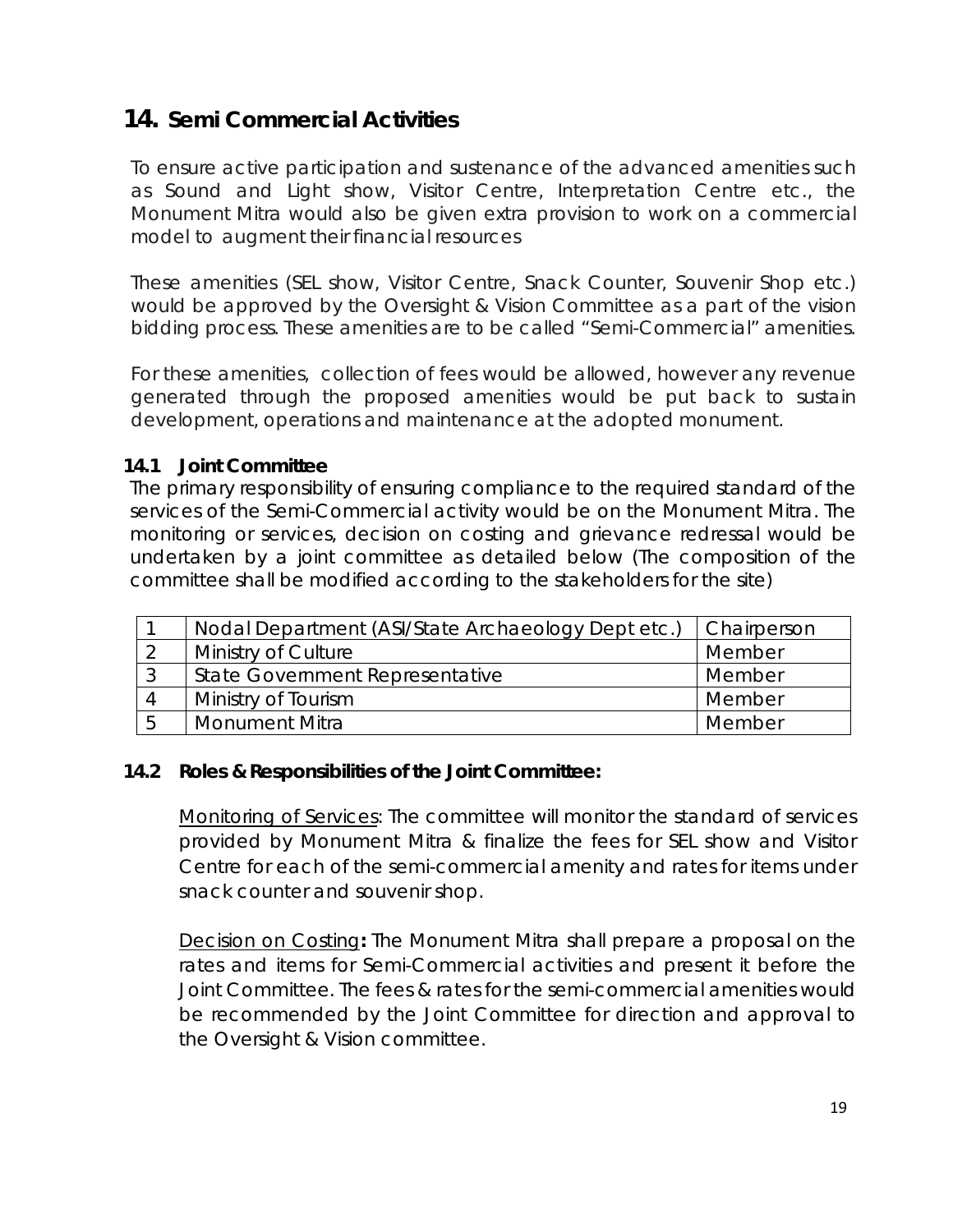### <span id="page-18-0"></span>**14. Semi Commercial Activities**

To ensure active participation and sustenance of the advanced amenities such as Sound and Light show, Visitor Centre, Interpretation Centre etc., the Monument Mitra would also be given extra provision to work on a commercial model to augment their financial resources

These amenities (SEL show, Visitor Centre, Snack Counter, Souvenir Shop etc.) would be approved by the Oversight & Vision Committee as a part of the vision bidding process. These amenities are to be called "Semi-Commercial" amenities.

For these amenities, collection of fees would be allowed, however any revenue generated through the proposed amenities would be put back to sustain development, operations and maintenance at the adopted monument.

### <span id="page-18-1"></span>**14.1 Joint Committee**

The primary responsibility of ensuring compliance to the required standard of the services of the Semi-Commercial activity would be on the Monument Mitra. The monitoring or services, decision on costing and grievance redressal would be undertaken by a joint committee as detailed below (The composition of the committee shall be modified according to the stakeholders for the site)

| Nodal Department (ASI/State Archaeology Dept etc.) | <b>Chairperson</b> |
|----------------------------------------------------|--------------------|
| Ministry of Culture                                | Member             |
| <b>State Government Representative</b>             | Member             |
| Ministry of Tourism                                | Member             |
| <b>Monument Mitra</b>                              | Member             |

#### <span id="page-18-2"></span>**14.2 Roles & Responsibilities of the Joint Committee:**

Monitoring of Services: The committee will monitor the standard of services provided by Monument Mitra & finalize the fees for SEL show and Visitor Centre for each of the semi-commercial amenity and rates for items under snack counter and souvenir shop.

Decision on Costing**:** The Monument Mitra shall prepare a proposal on the rates and items for Semi-Commercial activities and present it before the Joint Committee. The fees & rates for the semi-commercial amenities would be recommended by the Joint Committee for direction and approval to the Oversight & Vision committee.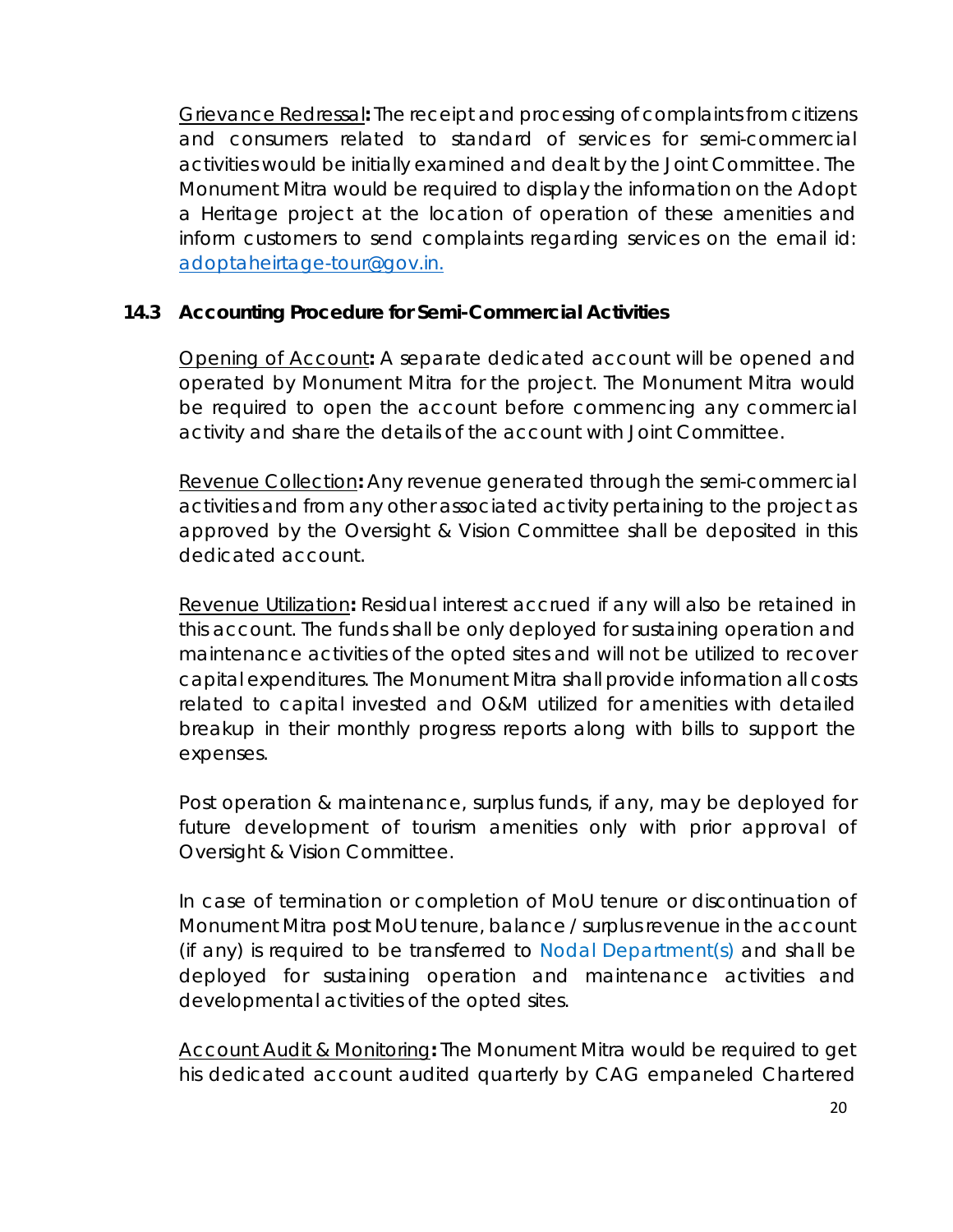Grievance Redressal**:** The receipt and processing of complaints from citizens and consumers related to standard of services for semi-commercial activities would be initially examined and dealt by the Joint Committee. The Monument Mitra would be required to display the information on the Adopt a Heritage project at the location of operation of these amenities and inform customers to send complaints regarding services on the email id: [adoptaheirtage-tour@gov.in.](mailto:adoptaheirtage-tour@gov.in)

### <span id="page-19-0"></span>**14.3 Accounting Procedure for Semi-Commercial Activities**

Opening of Account**:** A separate dedicated account will be opened and operated by Monument Mitra for the project. The Monument Mitra would be required to open the account before commencing any commercial activity and share the details of the account with Joint Committee.

Revenue Collection**:** Any revenue generated through the semi-commercial activities and from any other associated activity pertaining to the project as approved by the Oversight & Vision Committee shall be deposited in this dedicated account.

Revenue Utilization**:** Residual interest accrued if any will also be retained in this account. The funds shall be only deployed for sustaining operation and maintenance activities of the opted sites and will not be utilized to recover capital expenditures. The Monument Mitra shall provide information all costs related to capital invested and O&M utilized for amenities with detailed breakup in their monthly progress reports along with bills to support the expenses.

Post operation & maintenance, surplus funds, if any, may be deployed for future development of tourism amenities only with prior approval of Oversight & Vision Committee.

In case of termination or completion of MoU tenure or discontinuation of Monument Mitra post MoU tenure, balance / surplus revenue in the account (if any) is required to be transferred to Nodal Department(s) and shall be deployed for sustaining operation and maintenance activities and developmental activities of the opted sites.

Account Audit & Monitoring**:** The Monument Mitra would be required to get his dedicated account audited quarterly by CAG empaneled Chartered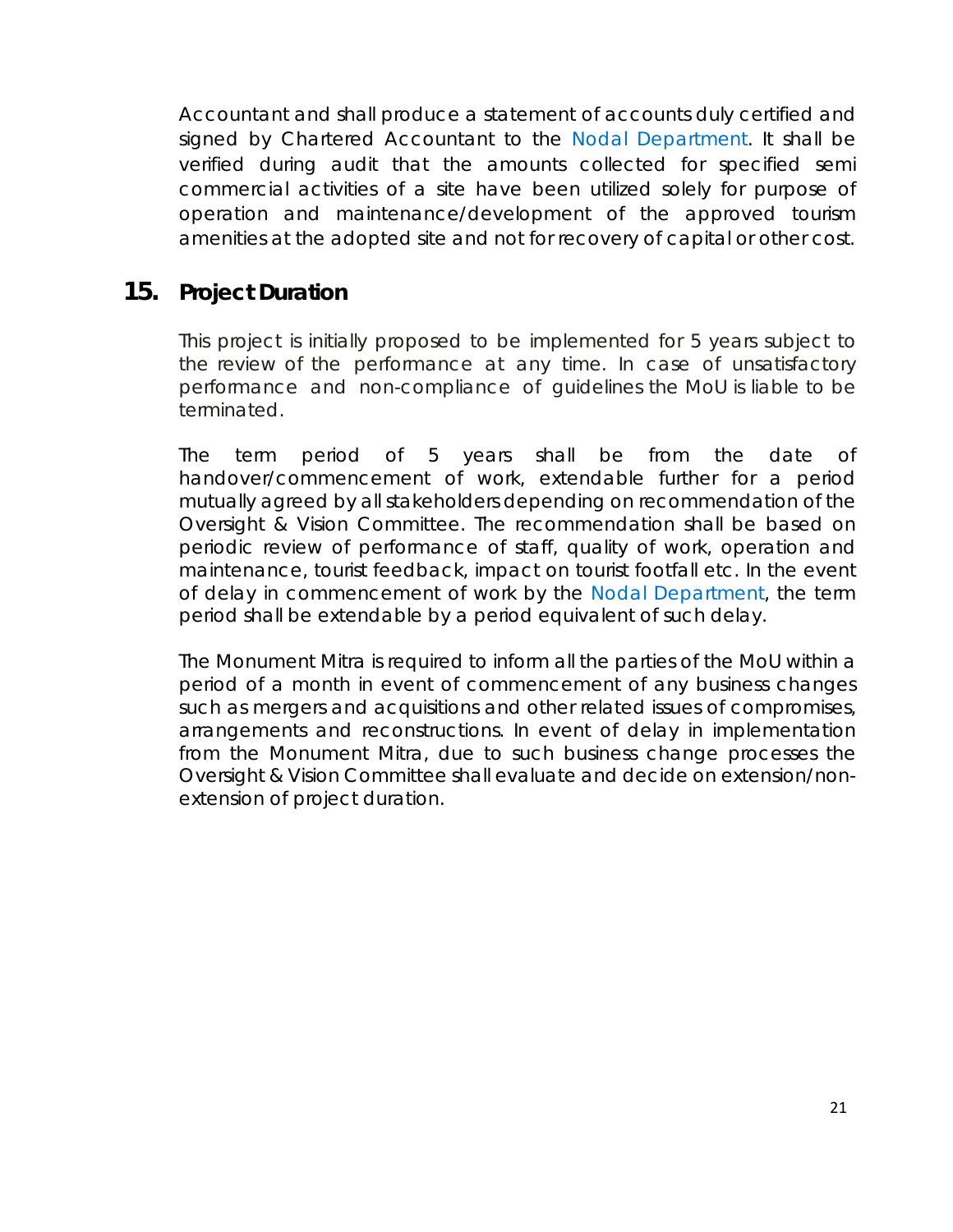Accountant and shall produce a statement of accounts duly certified and signed by Chartered Accountant to the Nodal Department. It shall be verified during audit that the amounts collected for specified semi commercial activities of a site have been utilized solely for purpose of operation and maintenance/development of the approved tourism amenities at the adopted site and not for recovery of capital or other cost.

### <span id="page-20-0"></span>**15. Project Duration**

This project is initially proposed to be implemented for 5 years subject to the review of the performance at any time. In case of unsatisfactory performance and non-compliance of guidelines the MoU is liable to be terminated.

The term period of 5 years shall be from the date of handover/commencement of work, extendable further for a period mutually agreed by all stakeholders depending on recommendation of the Oversight & Vision Committee. The recommendation shall be based on periodic review of performance of staff, quality of work, operation and maintenance, tourist feedback, impact on tourist footfall etc. In the event of delay in commencement of work by the Nodal Department, the term period shall be extendable by a period equivalent of such delay.

The Monument Mitra is required to inform all the parties of the MoU within a period of a month in event of commencement of any business changes such as mergers and acquisitions and other related issues of compromises, arrangements and reconstructions. In event of delay in implementation from the Monument Mitra, due to such business change processes the Oversight & Vision Committee shall evaluate and decide on extension/nonextension of project duration.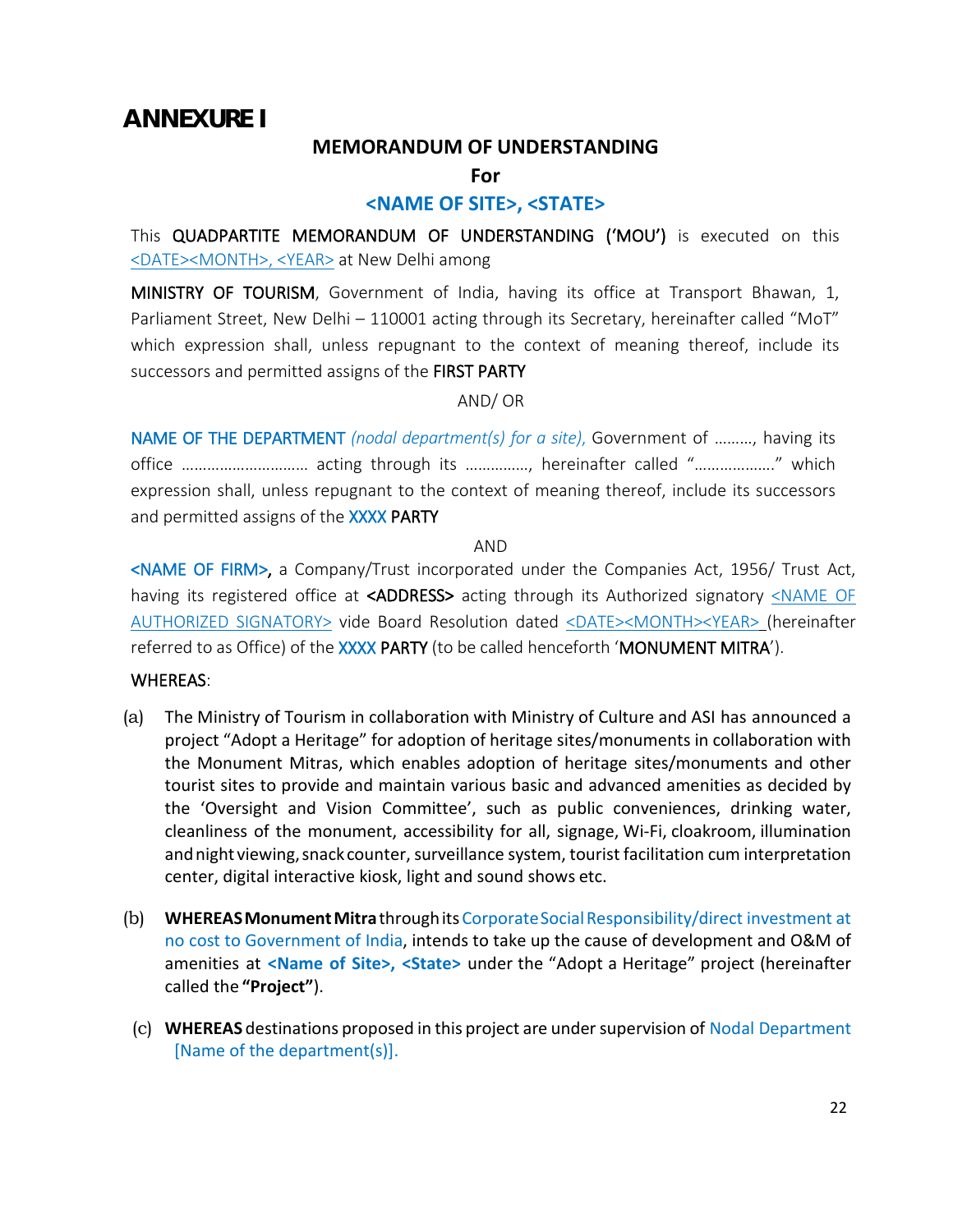### <span id="page-21-0"></span>**ANNEXURE I**

#### **MEMORANDUM OF UNDERSTANDING**

**For**

### **<NAME OF SITE>, <STATE>**

This QUADPARTITE MEMORANDUM OF UNDERSTANDING ('MOU') is executed on this <DATE><MONTH>, <YEAR> at New Delhi among

MINISTRY OF TOURISM, Government of India, having its office at Transport Bhawan, 1, Parliament Street, New Delhi – 110001 acting through its Secretary, hereinafter called "MoT" which expression shall, unless repugnant to the context of meaning thereof, include its successors and permitted assigns of the FIRST PARTY

#### AND/ OR

NAME OF THE DEPARTMENT *(nodal department(s) for a site)*, Government of ………, having its office ………………………… acting through its ……………, hereinafter called "………………." which expression shall, unless repugnant to the context of meaning thereof, include its successors and permitted assigns of the XXXX PARTY

#### AND

<NAME OF FIRM>, a Company/Trust incorporated under the Companies Act, 1956/ Trust Act, having its registered office at <ADDRESS> acting through its Authorized signatory <NAME OF AUTHORIZED SIGNATORY> vide Board Resolution dated <DATE><MONTH><YEAR> (hereinafter referred to as Office) of the XXXX PARTY (to be called henceforth 'MONUMENT MITRA').

#### WHEREAS:

- (a) The Ministry of Tourism in collaboration with Ministry of Culture and ASI has announced a project "Adopt a Heritage" for adoption of heritage sites/monuments in collaboration with the Monument Mitras, which enables adoption of heritage sites/monuments and other tourist sites to provide and maintain various basic and advanced amenities as decided by the 'Oversight and Vision Committee', such as public conveniences, drinking water, cleanliness of the monument, accessibility for all, signage, Wi-Fi, cloakroom, illumination and night viewing, snack counter, surveillance system, tourist facilitation cum interpretation center, digital interactive kiosk, light and sound shows etc.
- (b) **WHEREASMonumentMitra**throughitsCorporateSocialResponsibility/direct investment at no cost to Government of India, intends to take up the cause of development and O&M of amenities at **<Name of Site>, <State>** under the "Adopt a Heritage" project (hereinafter called the **"Project"**).
- (c) **WHEREAS** destinations proposed in this project are undersupervision of Nodal Department [Name of the department(s)].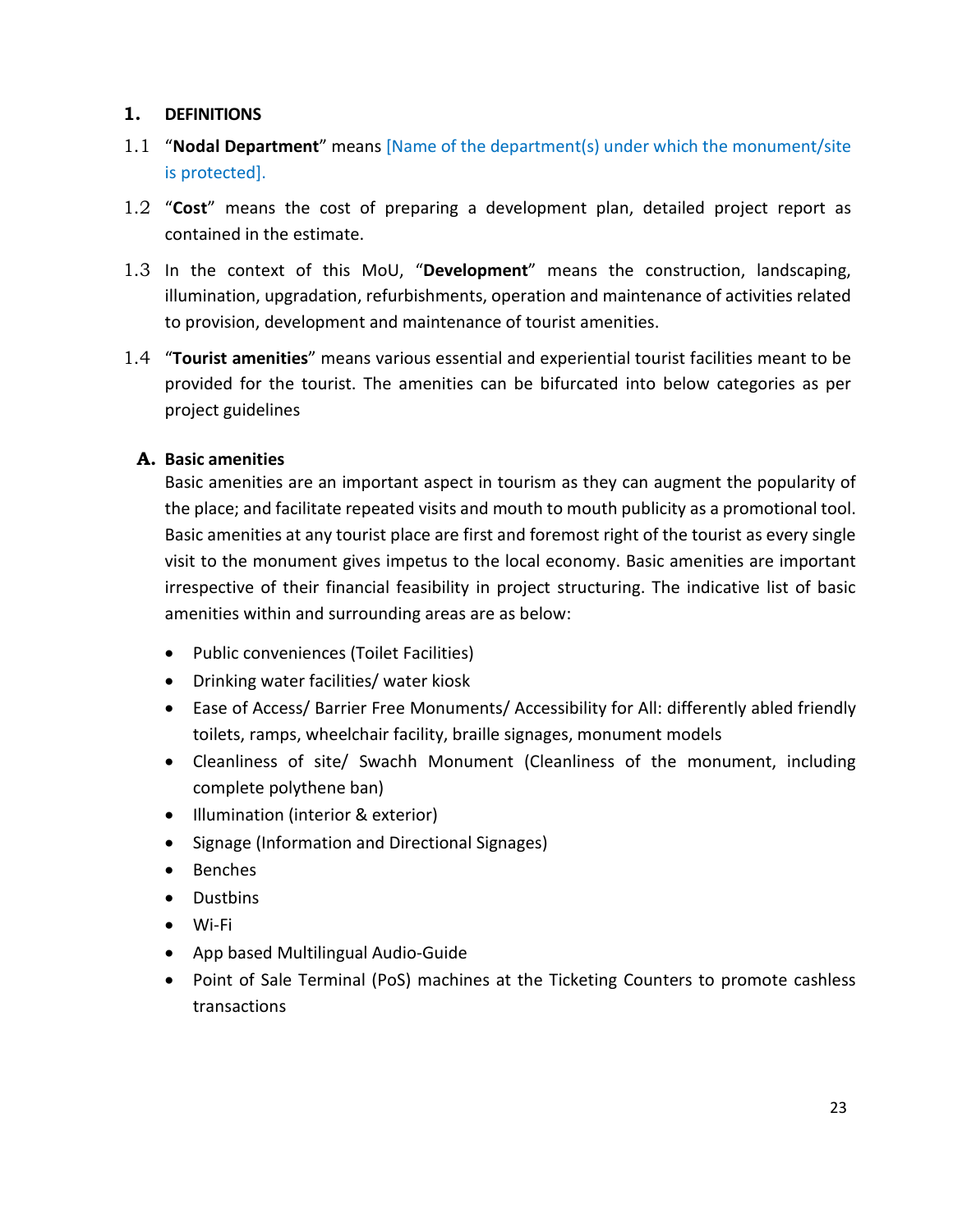### **1. DEFINITIONS**

- 1.1 "**Nodal Department**" means [Name of the department(s) under which the monument/site is protected].
- 1.2 "**Cost**" means the cost of preparing a development plan, detailed project report as contained in the estimate.
- 1.3 In the context of this MoU, "**Development**" means the construction, landscaping, illumination, upgradation, refurbishments, operation and maintenance of activities related to provision, development and maintenance of tourist amenities.
- 1.4 "**Tourist amenities**" means various essential and experiential tourist facilities meant to be provided for the tourist. The amenities can be bifurcated into below categories as per project guidelines

### **A. Basic amenities**

Basic amenities are an important aspect in tourism as they can augment the popularity of the place; and facilitate repeated visits and mouth to mouth publicity as a promotional tool. Basic amenities at any tourist place are first and foremost right of the tourist as every single visit to the monument gives impetus to the local economy. Basic amenities are important irrespective of their financial feasibility in project structuring. The indicative list of basic amenities within and surrounding areas are as below:

- Public conveniences (Toilet Facilities)
- Drinking water facilities/ water kiosk
- Ease of Access/ Barrier Free Monuments/ Accessibility for All: differently abled friendly toilets, ramps, wheelchair facility, braille signages, monument models
- Cleanliness of site/ Swachh Monument (Cleanliness of the monument, including complete polythene ban)
- Illumination (interior & exterior)
- Signage (Information and Directional Signages)
- Benches
- Dustbins
- Wi-Fi
- App based Multilingual Audio-Guide
- Point of Sale Terminal (PoS) machines at the Ticketing Counters to promote cashless transactions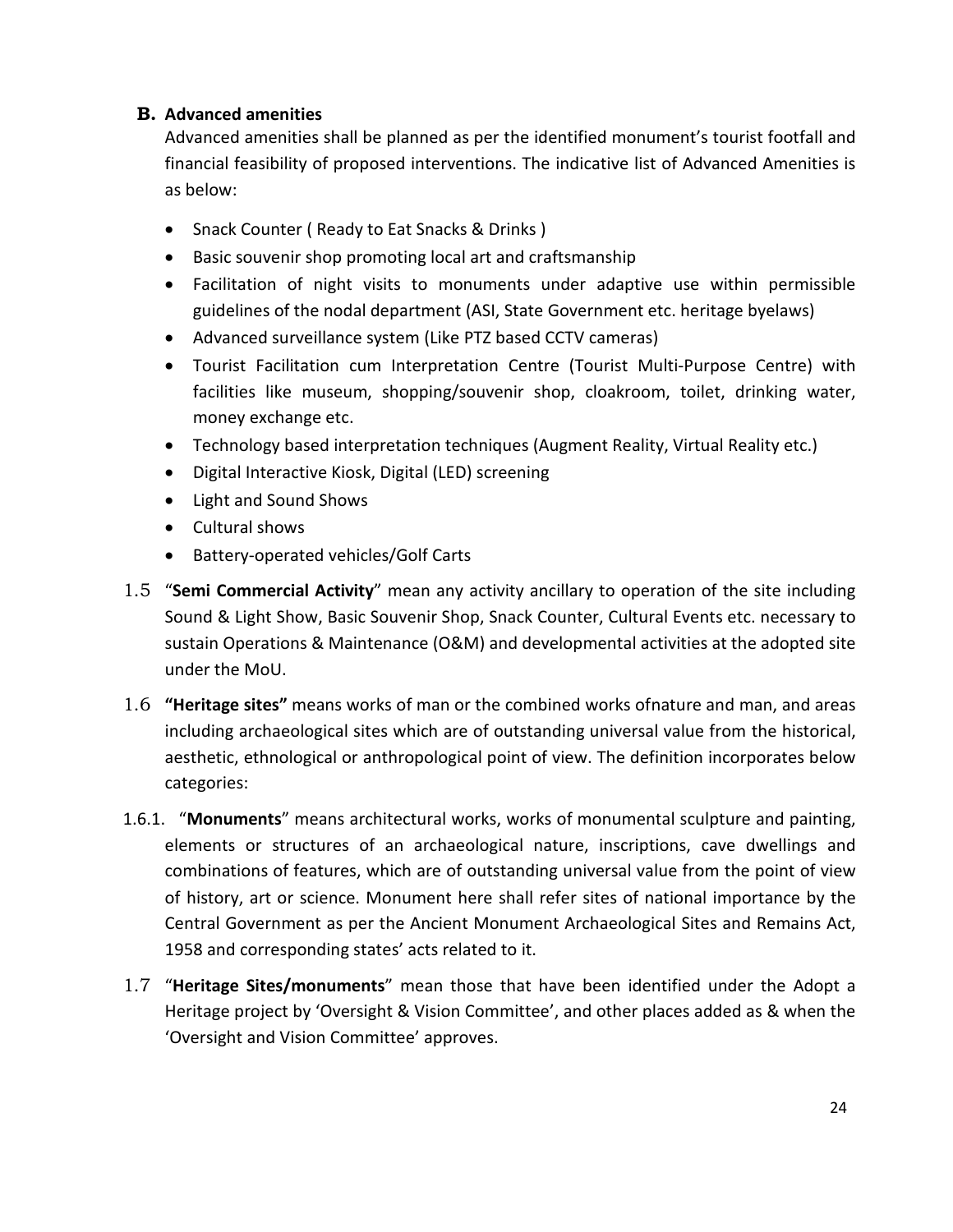### **B. Advanced amenities**

Advanced amenities shall be planned as per the identified monument's tourist footfall and financial feasibility of proposed interventions. The indicative list of Advanced Amenities is as below:

- Snack Counter ( Ready to Eat Snacks & Drinks )
- Basic souvenir shop promoting local art and craftsmanship
- Facilitation of night visits to monuments under adaptive use within permissible guidelines of the nodal department (ASI, State Government etc. heritage byelaws)
- Advanced surveillance system (Like PTZ based CCTV cameras)
- Tourist Facilitation cum Interpretation Centre (Tourist Multi-Purpose Centre) with facilities like museum, shopping/souvenir shop, cloakroom, toilet, drinking water, money exchange etc.
- Technology based interpretation techniques (Augment Reality, Virtual Reality etc.)
- Digital Interactive Kiosk, Digital (LED) screening
- Light and Sound Shows
- Cultural shows
- Battery-operated vehicles/Golf Carts
- 1.5 "**Semi Commercial Activity**" mean any activity ancillary to operation of the site including Sound & Light Show, Basic Souvenir Shop, Snack Counter, Cultural Events etc. necessary to sustain Operations & Maintenance (O&M) and developmental activities at the adopted site under the MoU.
- 1.6 **"Heritage sites"** means works of man or the combined works ofnature and man, and areas including archaeological sites which are of outstanding universal value from the historical, aesthetic, ethnological or anthropological point of view. The definition incorporates below categories:
- 1.6.1. "**Monuments**" means architectural works, works of monumental sculpture and painting, elements or structures of an archaeological nature, inscriptions, cave dwellings and combinations of features, which are of outstanding universal value from the point of view of history, art or science. Monument here shall refer sites of national importance by the Central Government as per the Ancient Monument Archaeological Sites and Remains Act, 1958 and corresponding states' acts related to it.
- 1.7 "**Heritage Sites/monuments**" mean those that have been identified under the Adopt a Heritage project by 'Oversight & Vision Committee', and other places added as & when the 'Oversight and Vision Committee' approves.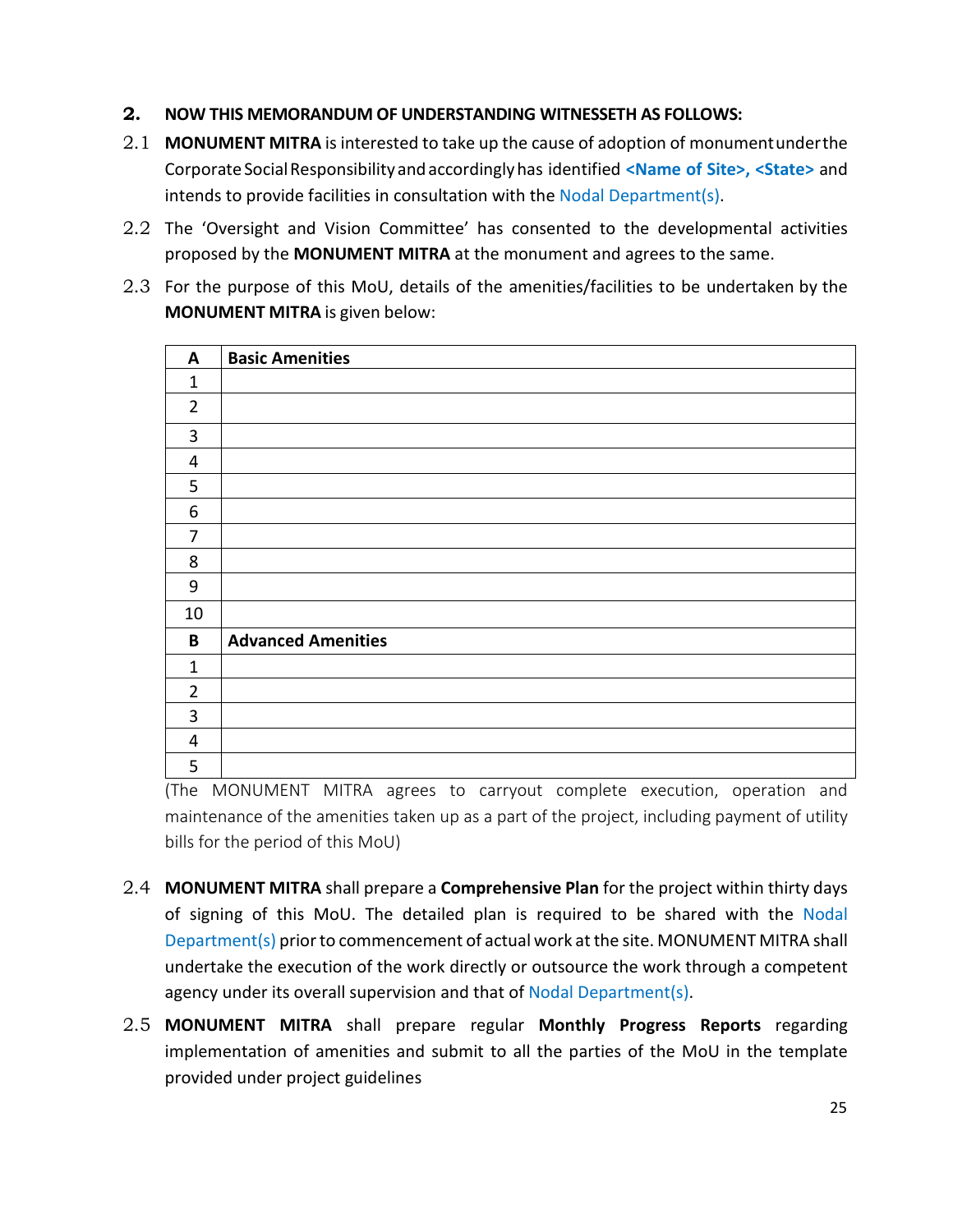#### **2. NOW THIS MEMORANDUM OF UNDERSTANDING WITNESSETH AS FOLLOWS:**

- 2.1 **MONUMENT MITRA** is interested to take up the cause of adoption of monumentunderthe Corporate Social Responsibility and accordingly has identified <Name of Site>, <State> and intends to provide facilities in consultation with the Nodal Department(s).
- 2.2 The 'Oversight and Vision Committee' has consented to the developmental activities proposed by the **MONUMENT MITRA** at the monument and agrees to the same.
- 2.3 For the purpose of this MoU, details of the amenities/facilities to be undertaken by the **MONUMENT MITRA** is given below:

| <b>Basic Amenities</b>    |
|---------------------------|
|                           |
|                           |
|                           |
|                           |
|                           |
|                           |
|                           |
|                           |
|                           |
|                           |
| <b>Advanced Amenities</b> |
|                           |
|                           |
|                           |
|                           |
|                           |
|                           |

(The MONUMENT MITRA agrees to carryout complete execution, operation and maintenance of the amenities taken up as a part of the project, including payment of utility bills for the period of this MoU)

- 2.4 **MONUMENT MITRA** shall prepare a **Comprehensive Plan** for the project within thirty days of signing of this MoU. The detailed plan is required to be shared with the Nodal Department(s) prior to commencement of actual work at the site. MONUMENT MITRA shall undertake the execution of the work directly or outsource the work through a competent agency under its overall supervision and that of Nodal Department(s).
- 2.5 **MONUMENT MITRA** shall prepare regular **Monthly Progress Reports** regarding implementation of amenities and submit to all the parties of the MoU in the template provided under project guidelines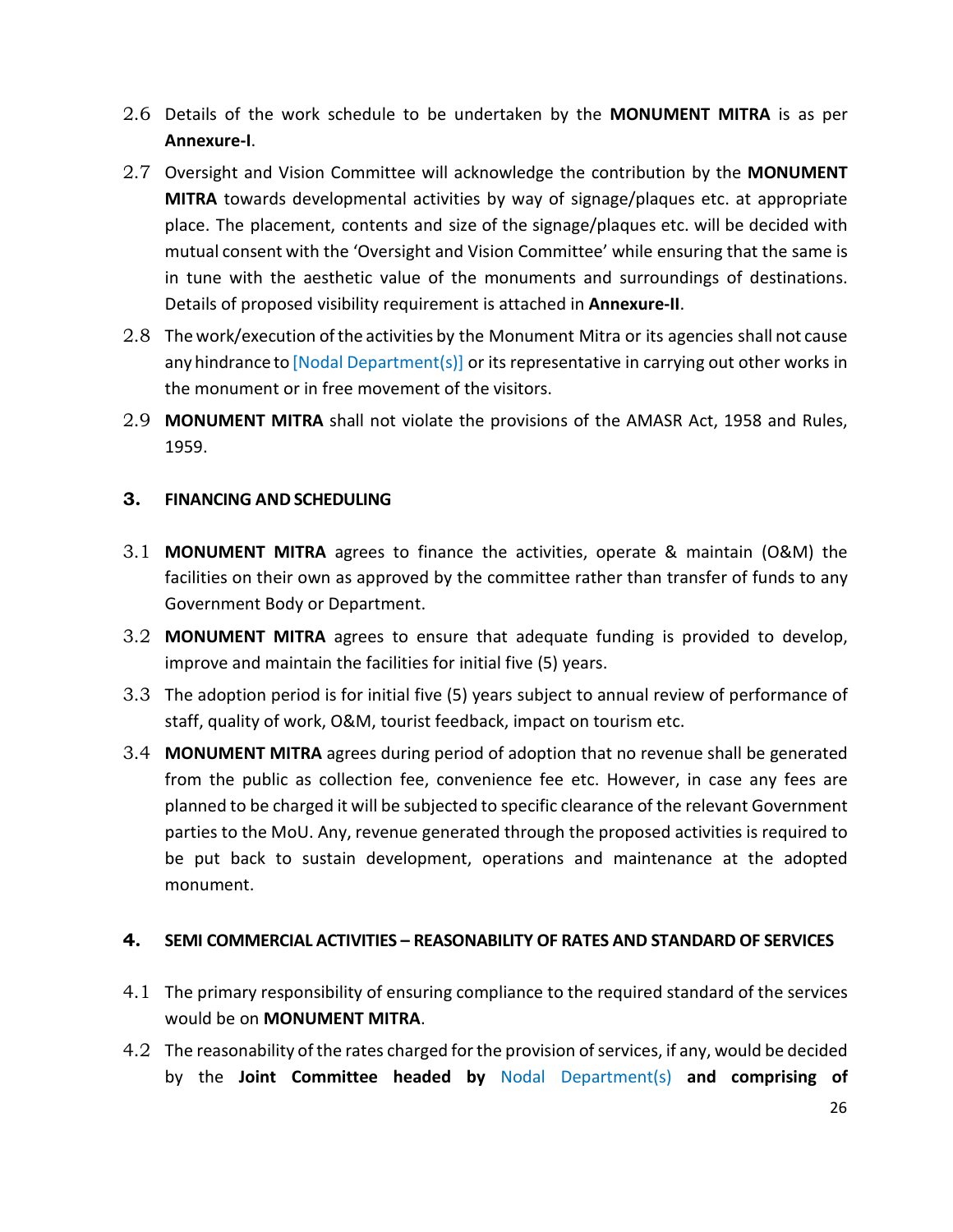- 2.6 Details of the work schedule to be undertaken by the **MONUMENT MITRA** is as per **Annexure-I**.
- 2.7 Oversight and Vision Committee will acknowledge the contribution by the **MONUMENT MITRA** towards developmental activities by way of signage/plaques etc. at appropriate place. The placement, contents and size of the signage/plaques etc. will be decided with mutual consent with the 'Oversight and Vision Committee' while ensuring that the same is in tune with the aesthetic value of the monuments and surroundings of destinations. Details of proposed visibility requirement is attached in **Annexure-II**.
- 2.8 The work/execution of the activities by the Monument Mitra or its agencies shall not cause any hindrance to [Nodal Department(s)] or its representative in carrying out other works in the monument or in free movement of the visitors.
- 2.9 **MONUMENT MITRA** shall not violate the provisions of the AMASR Act, 1958 and Rules, 1959.

#### **3. FINANCING AND SCHEDULING**

- 3.1 **MONUMENT MITRA** agrees to finance the activities, operate & maintain (O&M) the facilities on their own as approved by the committee rather than transfer of funds to any Government Body or Department.
- 3.2 **MONUMENT MITRA** agrees to ensure that adequate funding is provided to develop, improve and maintain the facilities for initial five (5) years.
- 3.3 The adoption period is for initial five (5) years subject to annual review of performance of staff, quality of work, O&M, tourist feedback, impact on tourism etc.
- 3.4 **MONUMENT MITRA** agrees during period of adoption that no revenue shall be generated from the public as collection fee, convenience fee etc. However, in case any fees are planned to be charged it will be subjected to specific clearance of the relevant Government parties to the MoU. Any, revenue generated through the proposed activities is required to be put back to sustain development, operations and maintenance at the adopted monument.

#### **4. SEMI COMMERCIAL ACTIVITIES – REASONABILITY OF RATES AND STANDARD OF SERVICES**

- 4.1 The primary responsibility of ensuring compliance to the required standard of the services would be on **MONUMENT MITRA**.
- 4.2 The reasonability of the rates charged for the provision of services, if any, would be decided by the **Joint Committee headed by** Nodal Department(s) **and comprising of**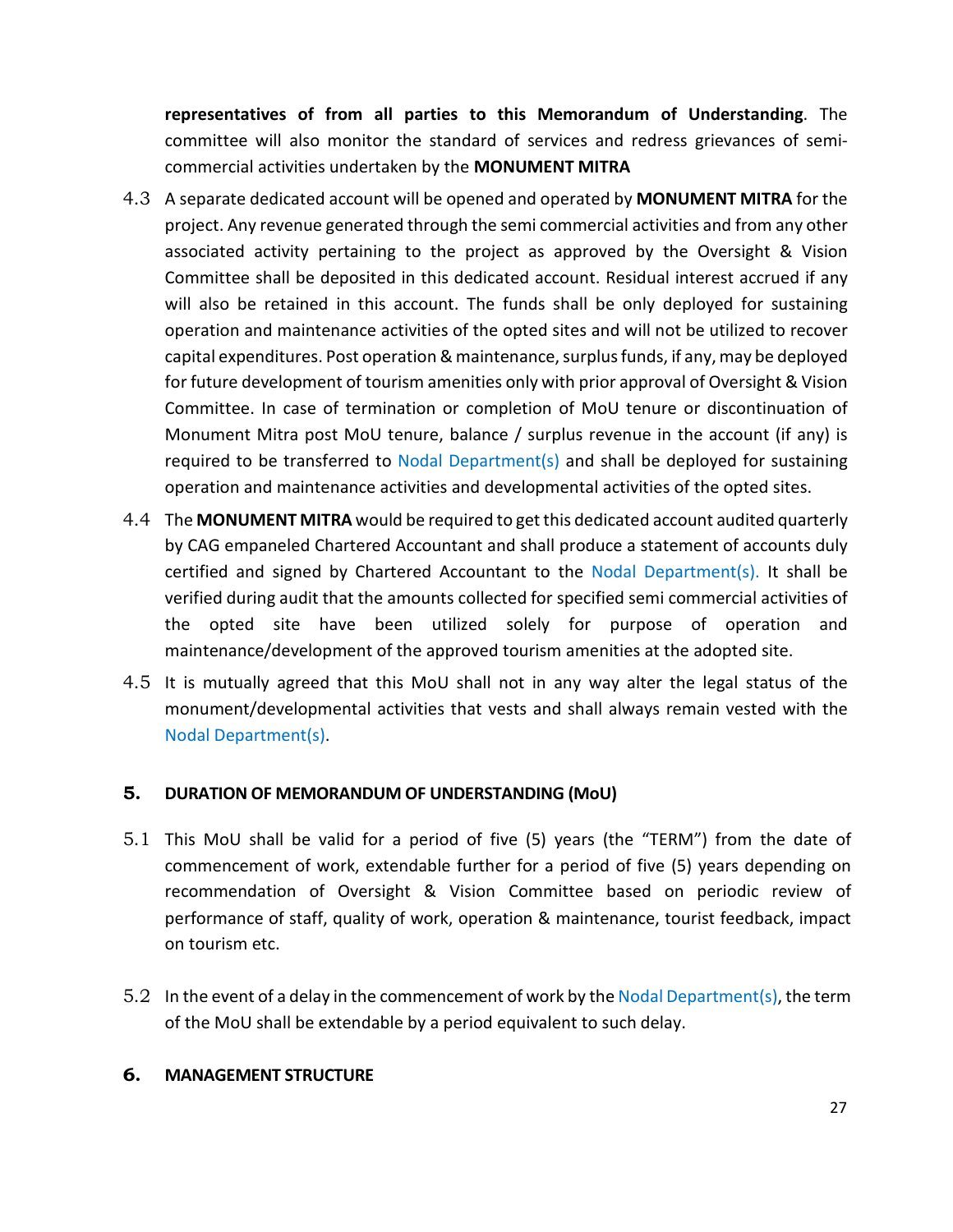**representatives of from all parties to this Memorandum of Understanding**. The committee will also monitor the standard of services and redress grievances of semicommercial activities undertaken by the **MONUMENT MITRA**

- 4.3 A separate dedicated account will be opened and operated by **MONUMENT MITRA** for the project. Any revenue generated through the semi commercial activities and from any other associated activity pertaining to the project as approved by the Oversight & Vision Committee shall be deposited in this dedicated account. Residual interest accrued if any will also be retained in this account. The funds shall be only deployed for sustaining operation and maintenance activities of the opted sites and will not be utilized to recover capital expenditures. Post operation & maintenance, surplus funds, if any, may be deployed for future development of tourism amenities only with prior approval of Oversight & Vision Committee. In case of termination or completion of MoU tenure or discontinuation of Monument Mitra post MoU tenure, balance / surplus revenue in the account (if any) is required to be transferred to Nodal Department(s) and shall be deployed for sustaining operation and maintenance activities and developmental activities of the opted sites.
- 4.4 The **MONUMENT MITRA** would be required to get this dedicated account audited quarterly by CAG empaneled Chartered Accountant and shall produce a statement of accounts duly certified and signed by Chartered Accountant to the Nodal Department(s). It shall be verified during audit that the amounts collected for specified semi commercial activities of the opted site have been utilized solely for purpose of operation and maintenance/development of the approved tourism amenities at the adopted site.
- 4.5 It is mutually agreed that this MoU shall not in any way alter the legal status of the monument/developmental activities that vests and shall always remain vested with the Nodal Department(s).

#### **5. DURATION OF MEMORANDUM OF UNDERSTANDING (MoU)**

- 5.1 This MoU shall be valid for a period of five (5) years (the "TERM") from the date of commencement of work, extendable further for a period of five (5) years depending on recommendation of Oversight & Vision Committee based on periodic review of performance of staff, quality of work, operation & maintenance, tourist feedback, impact on tourism etc.
- 5.2 In the event of a delay in the commencement of work by the Nodal Department(s), the term of the MoU shall be extendable by a period equivalent to such delay.

#### **6. MANAGEMENT STRUCTURE**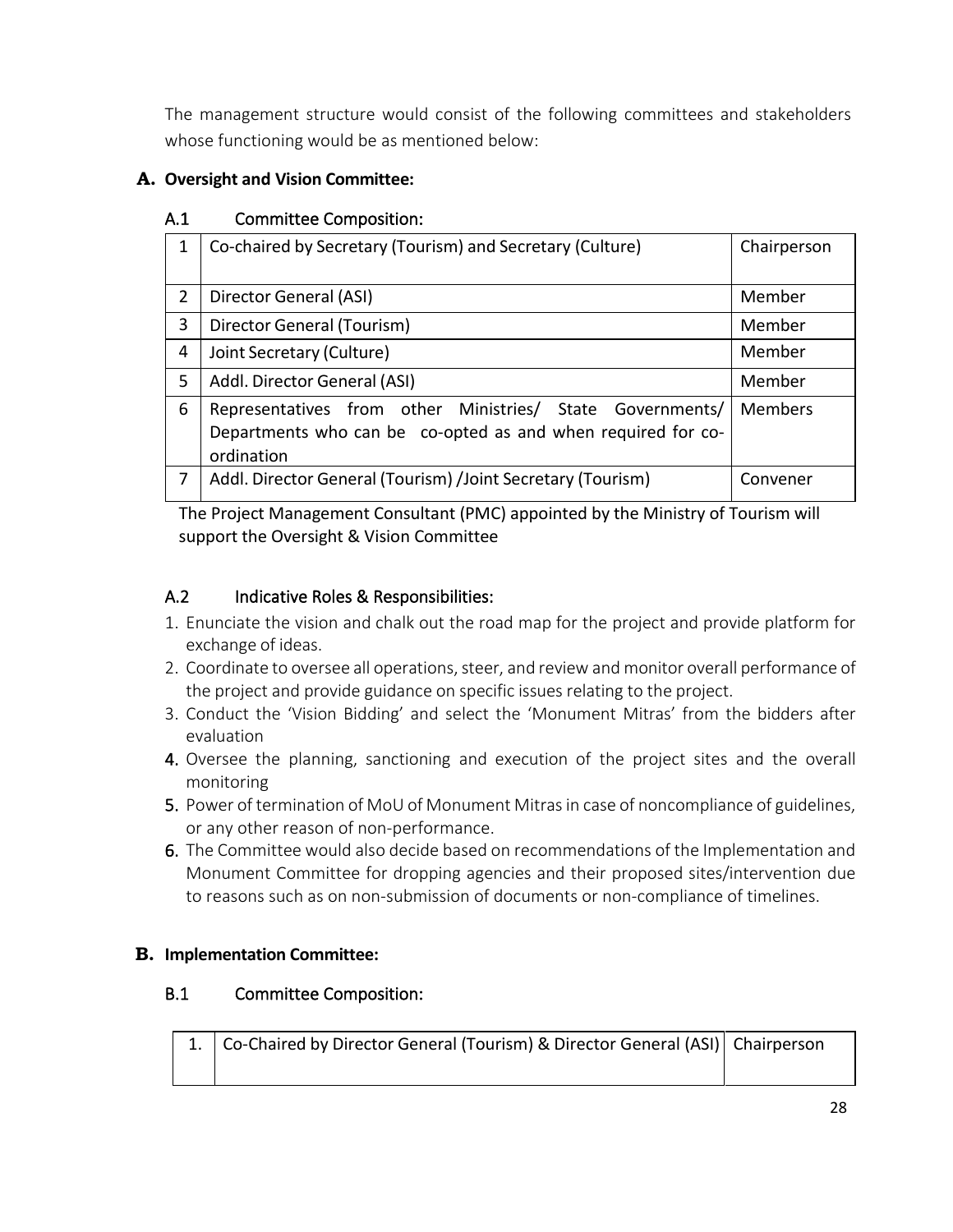The management structure would consist of the following committees and stakeholders whose functioning would be as mentioned below:

### **A. Oversight and Vision Committee:**

### A.1 Committee Composition:

| 1              | Co-chaired by Secretary (Tourism) and Secretary (Culture)    | Chairperson    |
|----------------|--------------------------------------------------------------|----------------|
|                |                                                              |                |
| $\overline{2}$ | Director General (ASI)                                       | Member         |
| 3              | Director General (Tourism)                                   | Member         |
| 4              | Joint Secretary (Culture)                                    | Member         |
| 5              | Addl. Director General (ASI)                                 | Member         |
| 6              | Representatives from other Ministries/ State Governments/    | <b>Members</b> |
|                | Departments who can be co-opted as and when required for co- |                |
|                | ordination                                                   |                |
| 7              | Addl. Director General (Tourism) /Joint Secretary (Tourism)  | Convener       |

The Project Management Consultant (PMC) appointed by the Ministry of Tourism will support the Oversight & Vision Committee

### A.2 Indicative Roles & Responsibilities:

- 1. Enunciate the vision and chalk out the road map for the project and provide platform for exchange of ideas.
- 2. Coordinate to oversee all operations, steer, and review and monitor overall performance of the project and provide guidance on specific issues relating to the project.
- 3. Conduct the 'Vision Bidding' and select the 'Monument Mitras' from the bidders after evaluation
- 4. Oversee the planning, sanctioning and execution of the project sites and the overall monitoring
- 5. Power of termination of MoU of Monument Mitras in case of noncompliance of guidelines, or any other reason of non-performance.
- 6. The Committee would also decide based on recommendations of the Implementation and Monument Committee for dropping agencies and their proposed sites/intervention due to reasons such as on non-submission of documents or non-compliance of timelines.

### **B. Implementation Committee:**

### B.1 Committee Composition:

| 1.   Co-Chaired by Director General (Tourism) & Director General (ASI)   Chairperson |  |
|--------------------------------------------------------------------------------------|--|
|                                                                                      |  |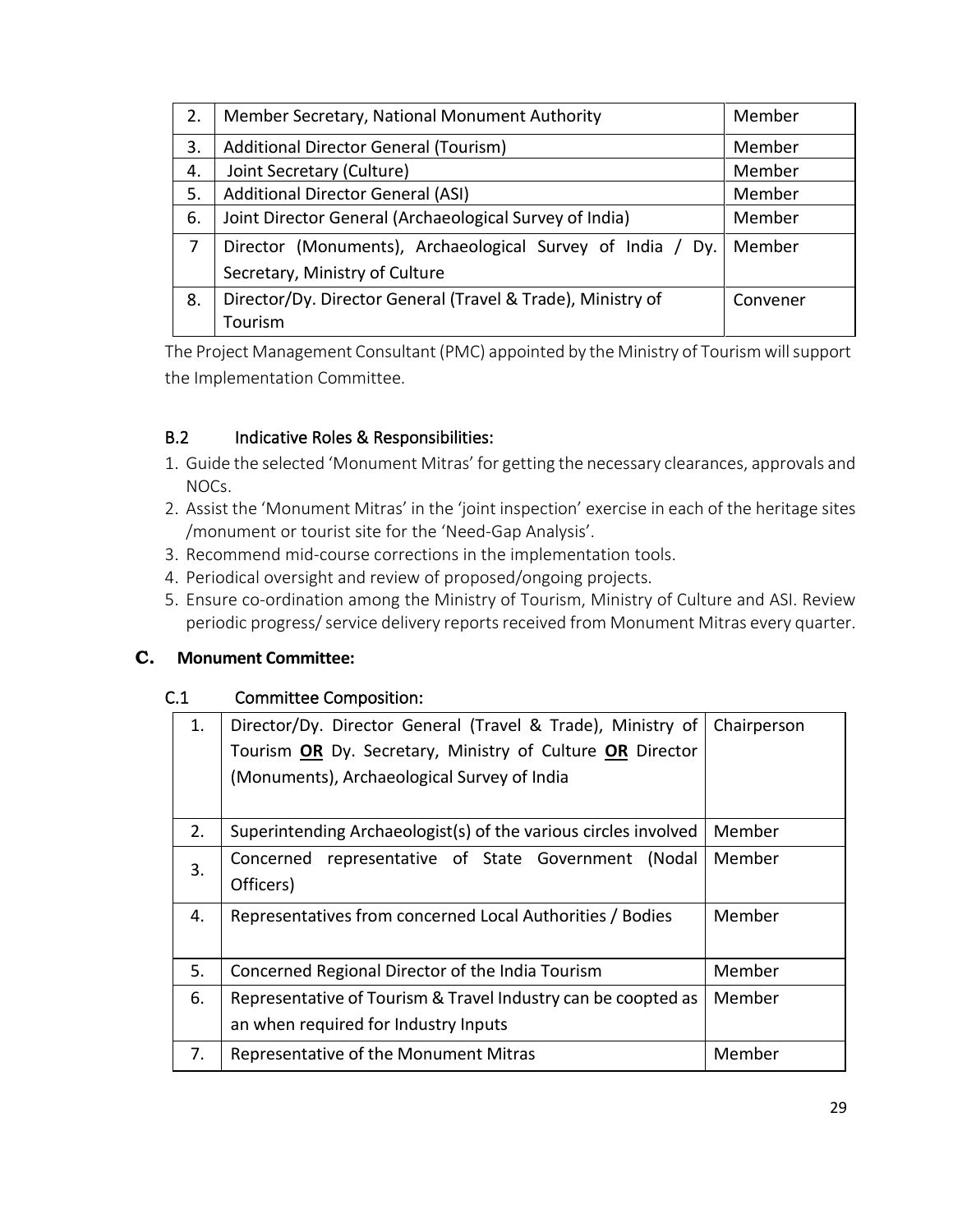| 2. | Member Secretary, National Monument Authority               | Member   |
|----|-------------------------------------------------------------|----------|
| 3. | Additional Director General (Tourism)                       | Member   |
| 4. | Joint Secretary (Culture)                                   | Member   |
| 5. | <b>Additional Director General (ASI)</b>                    | Member   |
| 6. | Joint Director General (Archaeological Survey of India)     | Member   |
| 7  | Director (Monuments), Archaeological Survey of India / Dy.  | Member   |
|    | Secretary, Ministry of Culture                              |          |
| 8. | Director/Dy. Director General (Travel & Trade), Ministry of | Convener |
|    | Tourism                                                     |          |

The Project Management Consultant (PMC) appointed by the Ministry of Tourism will support the Implementation Committee.

### B.2 Indicative Roles & Responsibilities:

- 1. Guide the selected 'Monument Mitras' for getting the necessary clearances, approvals and NOCs.
- 2. Assist the 'Monument Mitras' in the 'joint inspection' exercise in each of the heritage sites /monument or tourist site for the 'Need-Gap Analysis'.
- 3. Recommend mid-course corrections in the implementation tools.
- 4. Periodical oversight and review of proposed/ongoing projects.
- 5. Ensure co-ordination among the Ministry of Tourism, Ministry of Culture and ASI. Review periodic progress/ service delivery reports received from Monument Mitras every quarter.

#### **C. Monument Committee:**

#### C.1 Committee Composition:

| 1. | Director/Dy. Director General (Travel & Trade), Ministry of<br>Tourism OR Dy. Secretary, Ministry of Culture OR Director<br>(Monuments), Archaeological Survey of India | Chairperson |
|----|-------------------------------------------------------------------------------------------------------------------------------------------------------------------------|-------------|
| 2. | Superintending Archaeologist(s) of the various circles involved                                                                                                         | Member      |
| 3. | representative of State Government<br>Concerned<br>(Nodal)<br>Officers)                                                                                                 | Member      |
| 4. | Representatives from concerned Local Authorities / Bodies                                                                                                               | Member      |
| 5. | Concerned Regional Director of the India Tourism                                                                                                                        | Member      |
| 6. | Representative of Tourism & Travel Industry can be coopted as<br>an when required for Industry Inputs                                                                   | Member      |
| 7. | Representative of the Monument Mitras                                                                                                                                   | Member      |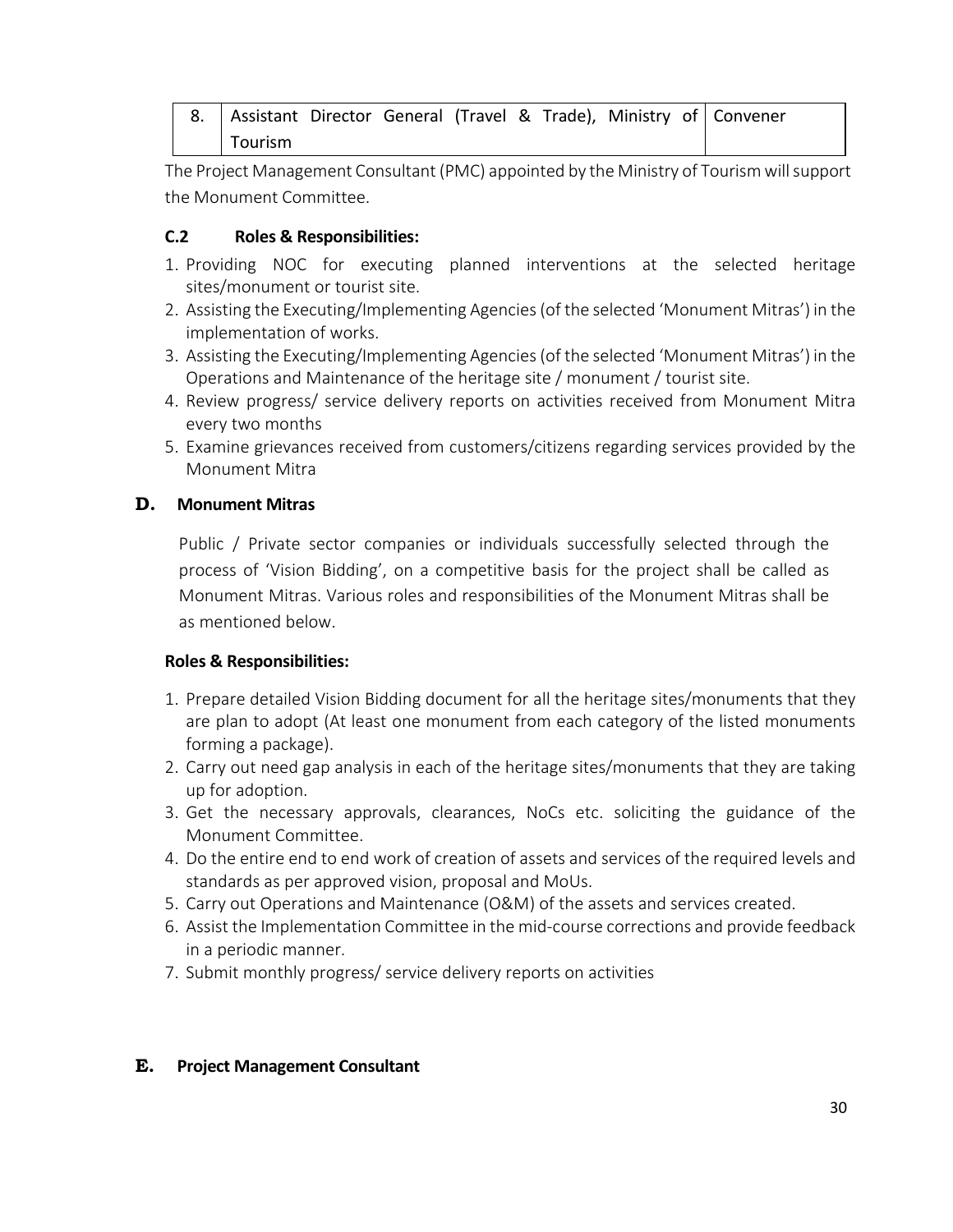|         |  |  |  | 8. Assistant Director General (Travel & Trade), Ministry of Convener |
|---------|--|--|--|----------------------------------------------------------------------|
| Tourism |  |  |  |                                                                      |

The Project Management Consultant (PMC) appointed by the Ministry of Tourism will support the Monument Committee.

#### **C.2 Roles & Responsibilities:**

- 1. Providing NOC for executing planned interventions at the selected heritage sites/monument or tourist site.
- 2. Assisting the Executing/Implementing Agencies (of the selected 'Monument Mitras') in the implementation of works.
- 3. Assisting the Executing/Implementing Agencies (of the selected 'Monument Mitras') in the Operations and Maintenance of the heritage site / monument / tourist site.
- 4. Review progress/ service delivery reports on activities received from Monument Mitra every two months
- 5. Examine grievances received from customers/citizens regarding services provided by the Monument Mitra

#### **D. Monument Mitras**

Public / Private sector companies or individuals successfully selected through the process of 'Vision Bidding', on a competitive basis for the project shall be called as Monument Mitras. Various roles and responsibilities of the Monument Mitras shall be as mentioned below.

#### **Roles & Responsibilities:**

- 1. Prepare detailed Vision Bidding document for all the heritage sites/monuments that they are plan to adopt (At least one monument from each category of the listed monuments forming a package).
- 2. Carry out need gap analysis in each of the heritage sites/monuments that they are taking up for adoption.
- 3. Get the necessary approvals, clearances, NoCs etc. soliciting the guidance of the Monument Committee.
- 4. Do the entire end to end work of creation of assets and services of the required levels and standards as per approved vision, proposal and MoUs.
- 5. Carry out Operations and Maintenance (O&M) of the assets and services created.
- 6. Assist the Implementation Committee in the mid-course corrections and provide feedback in a periodic manner.
- 7. Submit monthly progress/ service delivery reports on activities

#### **E. Project Management Consultant**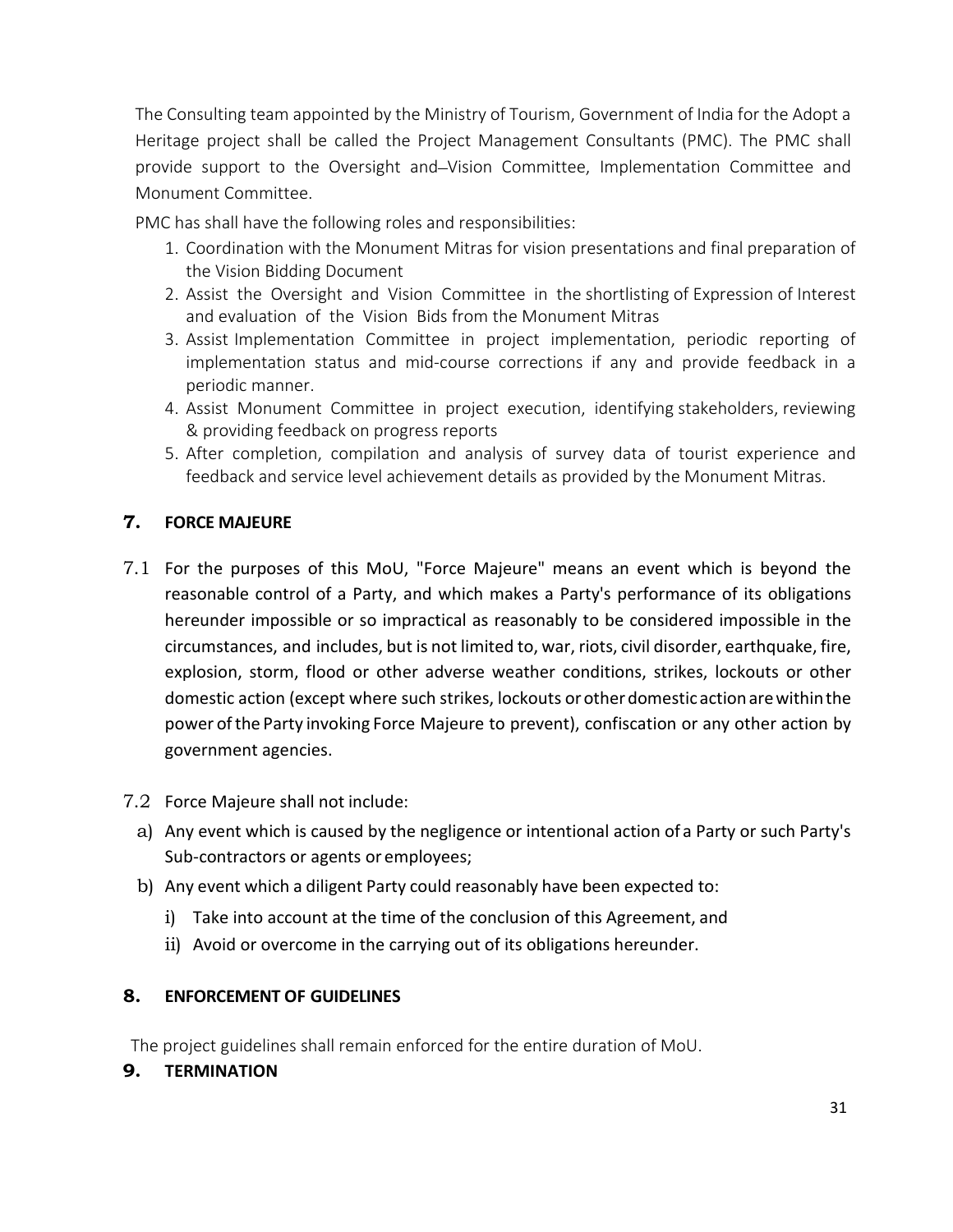The Consulting team appointed by the Ministry of Tourism, Government of India for the Adopt a Heritage project shall be called the Project Management Consultants (PMC). The PMC shall provide support to the Oversight and Vision Committee, Implementation Committee and Monument Committee.

PMC has shall have the following roles and responsibilities:

- 1. Coordination with the Monument Mitras for vision presentations and final preparation of the Vision Bidding Document
- 2. Assist the Oversight and Vision Committee in the shortlisting of Expression of Interest and evaluation of the Vision Bids from the Monument Mitras
- 3. Assist Implementation Committee in project implementation, periodic reporting of implementation status and mid-course corrections if any and provide feedback in a periodic manner.
- 4. Assist Monument Committee in project execution, identifying stakeholders, reviewing & providing feedback on progress reports
- 5. After completion, compilation and analysis of survey data of tourist experience and feedback and service level achievement details as provided by the Monument Mitras.

### **7. FORCE MAJEURE**

- 7.1 For the purposes of this MoU, "Force Majeure" means an event which is beyond the reasonable control of a Party, and which makes a Party's performance of its obligations hereunder impossible or so impractical as reasonably to be considered impossible in the circumstances, and includes, but is not limited to, war, riots, civil disorder, earthquake, fire, explosion, storm, flood or other adverse weather conditions, strikes, lockouts or other domestic action (except where such strikes, lockouts orotherdomesticactionarewithinthe power ofthe Party invoking Force Majeure to prevent), confiscation or any other action by government agencies.
- 7.2 Force Majeure shall not include:
	- a) Any event which is caused by the negligence or intentional action of a Party or such Party's Sub-contractors or agents or employees;
	- b) Any event which a diligent Party could reasonably have been expected to:
		- i) Take into account at the time of the conclusion of this Agreement, and
		- ii) Avoid or overcome in the carrying out of its obligations hereunder.

#### **8. ENFORCEMENT OF GUIDELINES**

The project guidelines shall remain enforced for the entire duration of MoU.

**9. TERMINATION**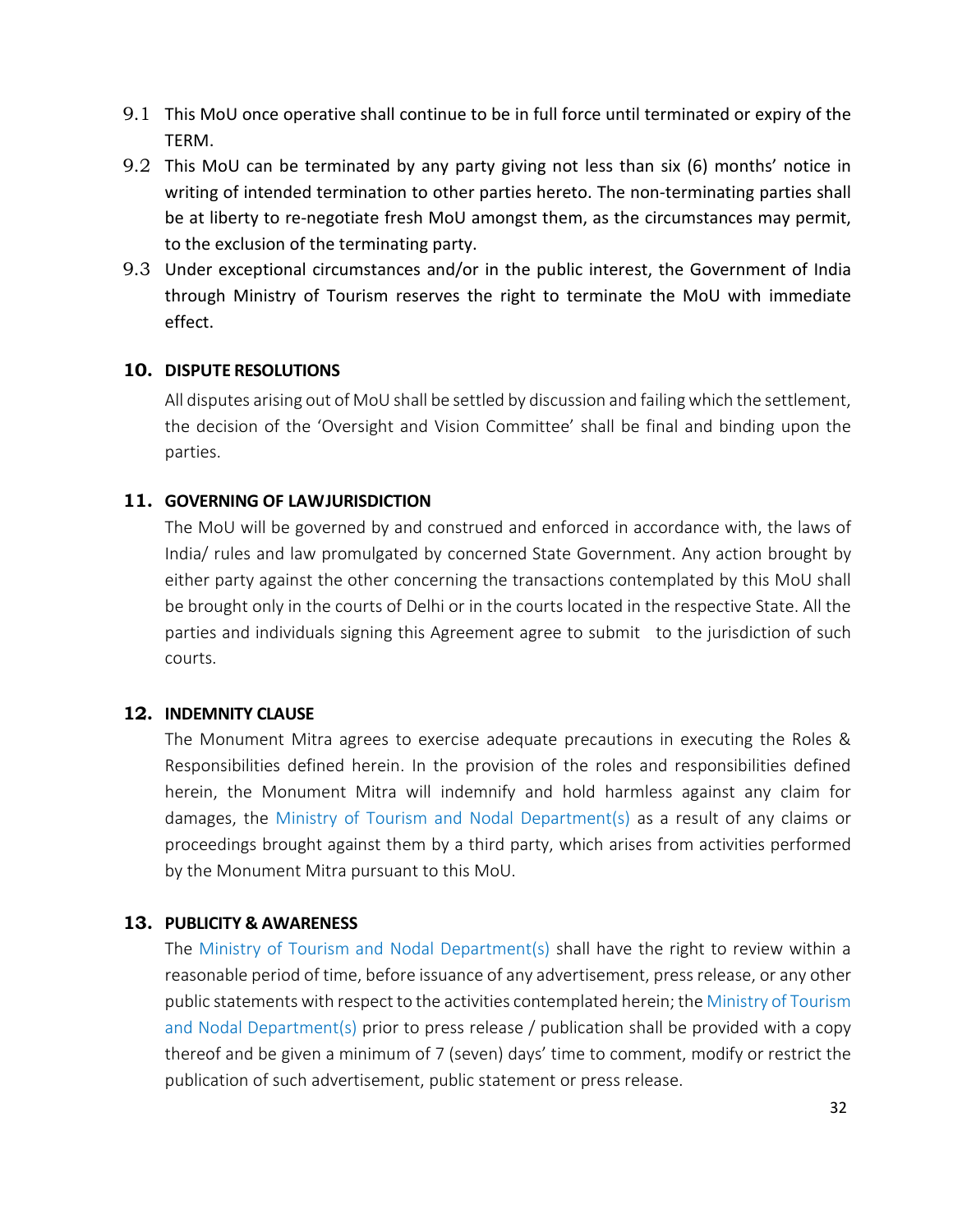- 9.1 This MoU once operative shall continue to be in full force until terminated or expiry of the TERM.
- 9.2 This MoU can be terminated by any party giving not less than six (6) months' notice in writing of intended termination to other parties hereto. The non-terminating parties shall be at liberty to re-negotiate fresh MoU amongst them, as the circumstances may permit, to the exclusion of the terminating party.
- 9.3 Under exceptional circumstances and/or in the public interest, the Government of India through Ministry of Tourism reserves the right to terminate the MoU with immediate effect.

#### **10. DISPUTE RESOLUTIONS**

All disputes arising out of MoU shall be settled by discussion and failingwhich the settlement, the decision of the 'Oversight and Vision Committee' shall be final and binding upon the parties.

#### **11. GOVERNING OF LAWJURISDICTION**

The MoU will be governed by and construed and enforced in accordance with, the laws of India/ rules and law promulgated by concerned State Government. Any action brought by either party against the other concerning the transactions contemplated by this MoU shall be brought only in the courts of Delhi or in the courts located in the respective State. All the parties and individuals signing this Agreement agree to submit to the jurisdiction of such courts.

#### **12. INDEMNITY CLAUSE**

The Monument Mitra agrees to exercise adequate precautions in executing the Roles & Responsibilities defined herein. In the provision of the roles and responsibilities defined herein, the Monument Mitra will indemnify and hold harmless against any claim for damages, the Ministry of Tourism and Nodal Department(s) as a result of any claims or proceedings brought against them by a third party, which arises from activities performed by the Monument Mitra pursuant to this MoU.

#### **13. PUBLICITY & AWARENESS**

The Ministry of Tourism and Nodal Department(s) shall have the right to review within a reasonable period of time, before issuance of any advertisement, pressrelease, or any other public statements with respect to the activities contemplated herein; the Ministry of Tourism and Nodal Department(s) prior to press release / publication shall be provided with a copy thereof and be given a minimum of 7 (seven) days' time to comment, modify or restrict the publication of such advertisement, public statement or press release.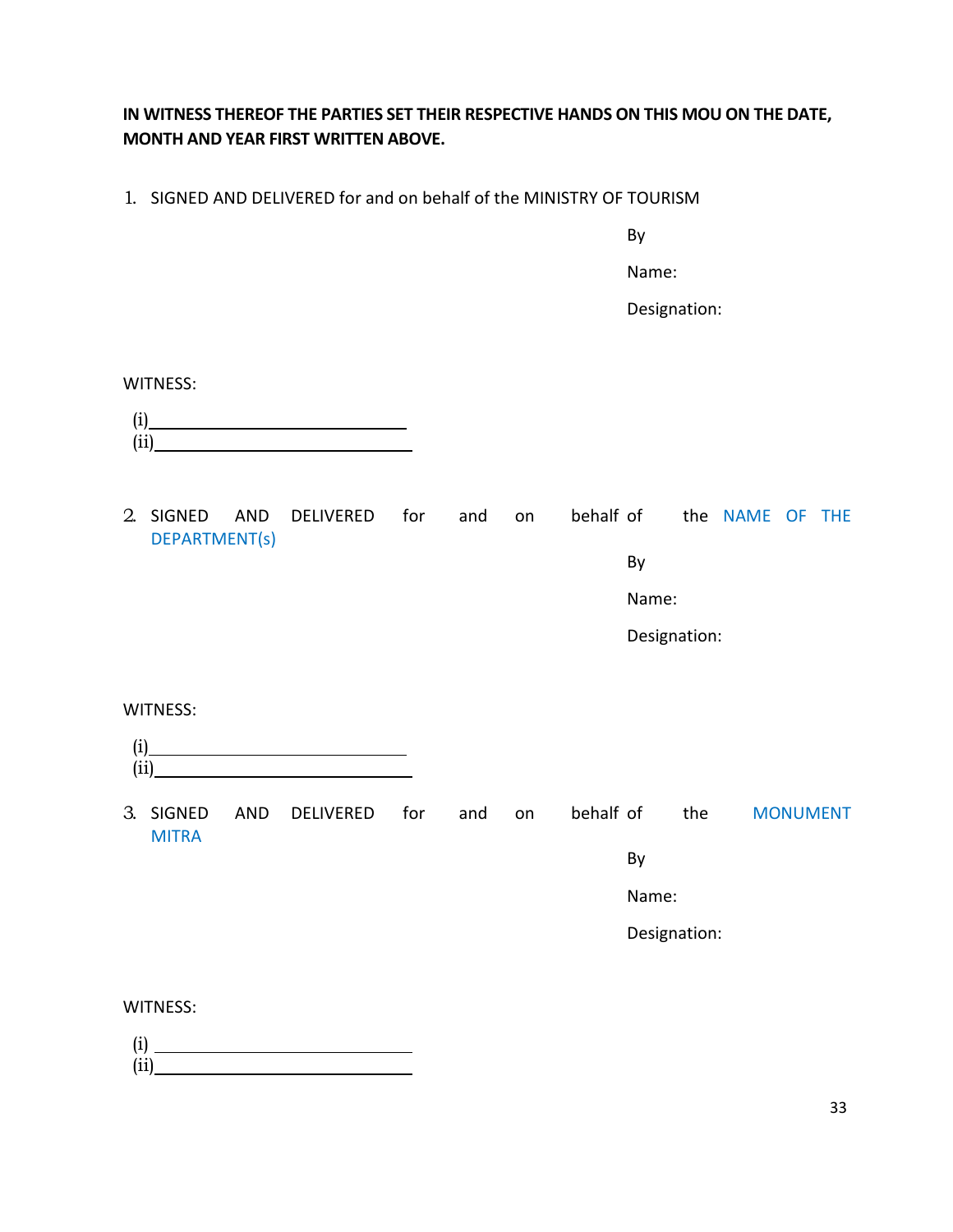### **IN WITNESS THEREOF THE PARTIES SET THEIR RESPECTIVE HANDS ON THIS MOU ON THE DATE, MONTH AND YEAR FIRST WRITTEN ABOVE.**

1. SIGNED AND DELIVERED for and on behalf of the MINISTRY OF TOURISM

By

Name:

Designation:

WITNESS:

| $\rm(i)$ |  |  |
|----------|--|--|
| (i)      |  |  |

2. SIGNED AND DELIVERED for and on behalf of the NAME OF THE DEPARTMENT(s)

By

Name:

Designation:

WITNESS:

| (i)<br>-- |  |  |
|-----------|--|--|

3. SIGNED AND DELIVERED for and on behalf of the MONUMENT MITRA

By

Name:

Designation:

WITNESS:

(i) (ii)

33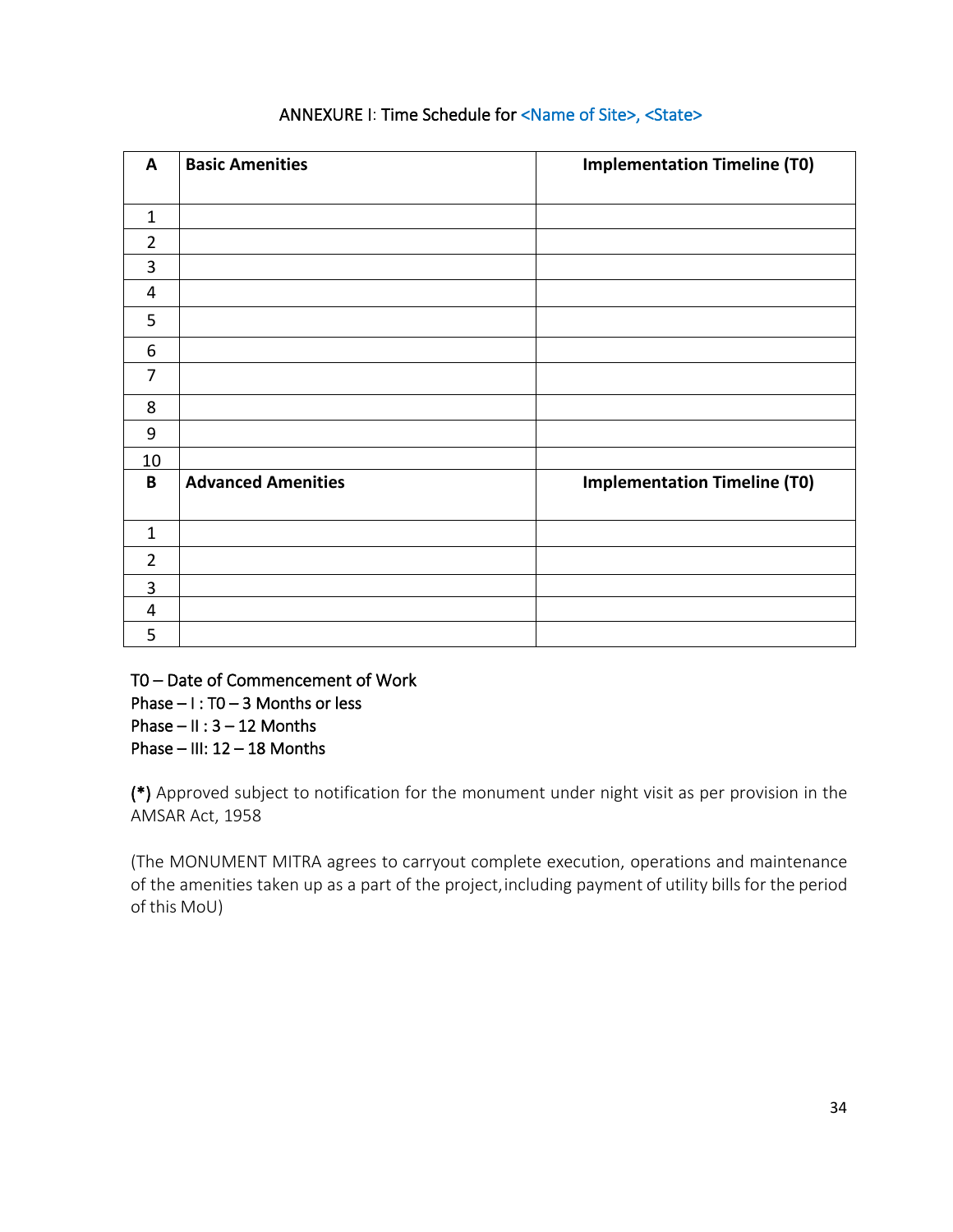| A                | <b>Basic Amenities</b>    | <b>Implementation Timeline (T0)</b> |
|------------------|---------------------------|-------------------------------------|
|                  |                           |                                     |
| $\mathbf{1}$     |                           |                                     |
| $\overline{2}$   |                           |                                     |
| 3                |                           |                                     |
| 4                |                           |                                     |
| 5                |                           |                                     |
| 6                |                           |                                     |
| $\overline{7}$   |                           |                                     |
| 8                |                           |                                     |
| $\boldsymbol{9}$ |                           |                                     |
| 10               |                           |                                     |
| B                | <b>Advanced Amenities</b> | <b>Implementation Timeline (T0)</b> |
| $\mathbf{1}$     |                           |                                     |
| $\overline{2}$   |                           |                                     |
| 3                |                           |                                     |
| 4                |                           |                                     |
| 5                |                           |                                     |

### ANNEXURE I: Time Schedule for <Name of Site>, <State>

T0 – Date of Commencement of Work Phase – I : T0 – 3 Months or less Phase –  $II : 3 - 12$  Months Phase – III:  $12 - 18$  Months

(\*) Approved subject to notification for the monument under night visit as per provision in the AMSAR Act, 1958

(The MONUMENT MITRA agrees to carryout complete execution, operations and maintenance of the amenities taken up as a part of the project, including payment of utility bills for the period of this MoU)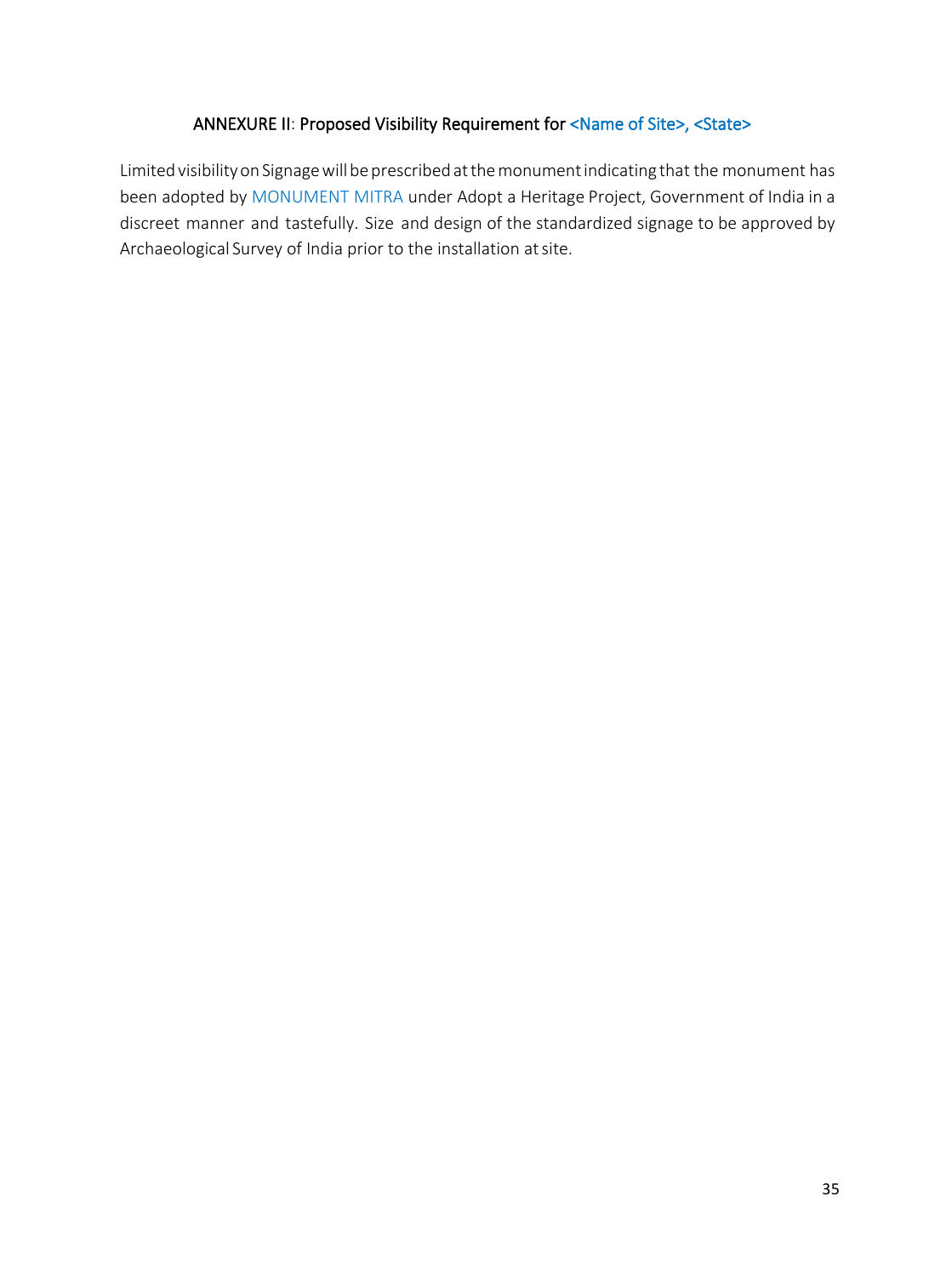### ANNEXURE II: Proposed Visibility Requirement for <Name of Site>, <State>

Limited visibility on Signage will be prescribed at the monument indicating that the monument has been adopted by MONUMENT MITRA under Adopt a Heritage Project, Government of India in a discreet manner and tastefully. Size and design of the standardized signage to be approved by Archaeological Survey of India prior to the installation atsite.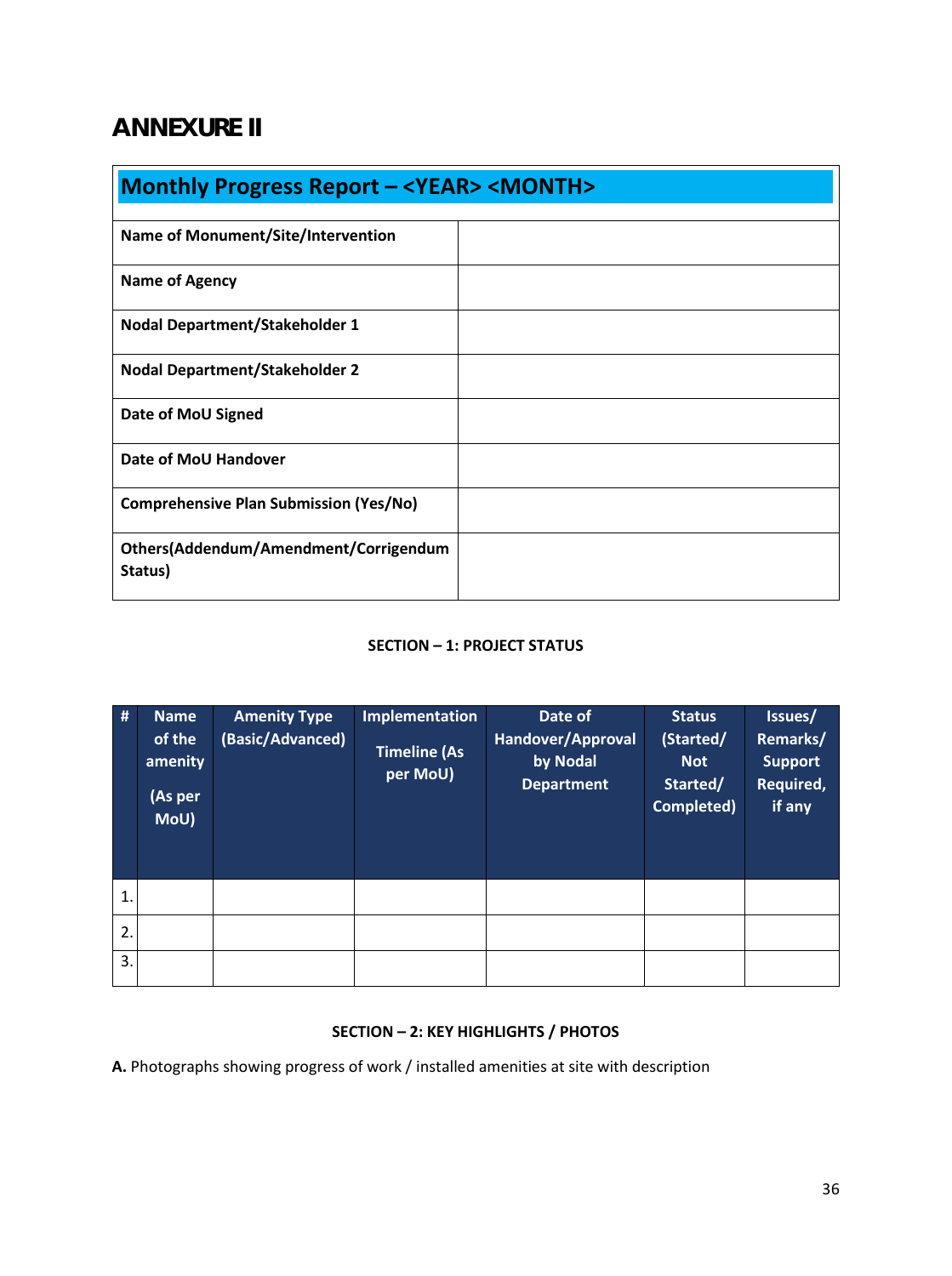## <span id="page-35-0"></span>**ANNEXURE II**

|                                                  | <b>Monthly Progress Report - <year> <month></month></year></b> |  |  |  |  |
|--------------------------------------------------|----------------------------------------------------------------|--|--|--|--|
| <b>Name of Monument/Site/Intervention</b>        |                                                                |  |  |  |  |
| <b>Name of Agency</b>                            |                                                                |  |  |  |  |
| <b>Nodal Department/Stakeholder 1</b>            |                                                                |  |  |  |  |
| <b>Nodal Department/Stakeholder 2</b>            |                                                                |  |  |  |  |
| Date of MoU Signed                               |                                                                |  |  |  |  |
| Date of MoU Handover                             |                                                                |  |  |  |  |
| <b>Comprehensive Plan Submission (Yes/No)</b>    |                                                                |  |  |  |  |
| Others(Addendum/Amendment/Corrigendum<br>Status) |                                                                |  |  |  |  |

#### **SECTION – 1: PROJECT STATUS**

| #            | <b>Name</b><br>of the<br>amenity<br>(As per<br>Mou | <b>Amenity Type</b><br>(Basic/Advanced) | <b>Implementation</b><br><b>Timeline (As</b><br>per MoU) | Date of<br>Handover/Approval<br>by Nodal<br><b>Department</b> | <b>Status</b><br>(Started/<br><b>Not</b><br>Started/<br>Completed) | Issues/<br>Remarks/<br><b>Support</b><br>Required,<br>if any |
|--------------|----------------------------------------------------|-----------------------------------------|----------------------------------------------------------|---------------------------------------------------------------|--------------------------------------------------------------------|--------------------------------------------------------------|
| $\mathbf{1}$ |                                                    |                                         |                                                          |                                                               |                                                                    |                                                              |
| 2.           |                                                    |                                         |                                                          |                                                               |                                                                    |                                                              |
| 3.           |                                                    |                                         |                                                          |                                                               |                                                                    |                                                              |

### **SECTION – 2: KEY HIGHLIGHTS / PHOTOS**

**A.** Photographs showing progress of work / installed amenities at site with description